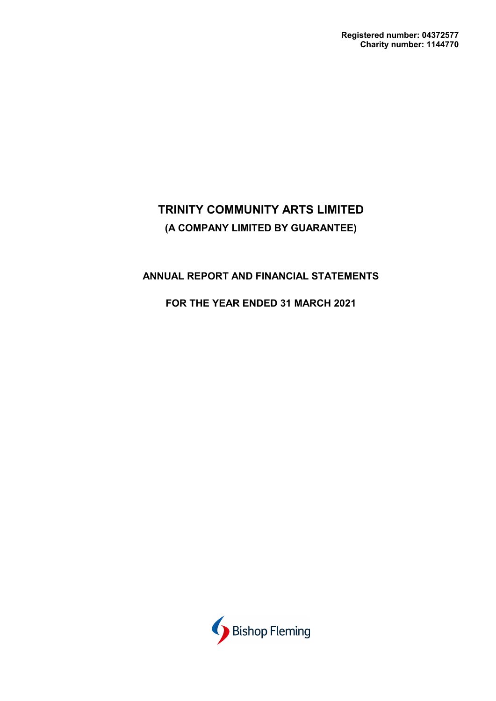## **ANNUAL REPORT AND FINANCIAL STATEMENTS**

## **FOR THE YEAR ENDED 31 MARCH 2021**

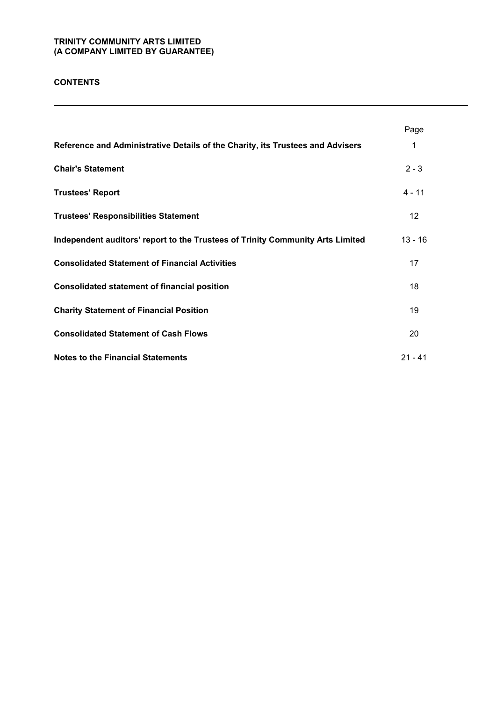### **CONTENTS**

|                                                                                | Page            |
|--------------------------------------------------------------------------------|-----------------|
| Reference and Administrative Details of the Charity, its Trustees and Advisers | 1               |
| <b>Chair's Statement</b>                                                       | $2 - 3$         |
| <b>Trustees' Report</b>                                                        | $4 - 11$        |
| <b>Trustees' Responsibilities Statement</b>                                    | 12 <sup>2</sup> |
| Independent auditors' report to the Trustees of Trinity Community Arts Limited | $13 - 16$       |
| <b>Consolidated Statement of Financial Activities</b>                          | 17              |
| <b>Consolidated statement of financial position</b>                            | 18              |
| <b>Charity Statement of Financial Position</b>                                 | 19              |
| <b>Consolidated Statement of Cash Flows</b>                                    | 20              |
| <b>Notes to the Financial Statements</b>                                       | $21 - 41$       |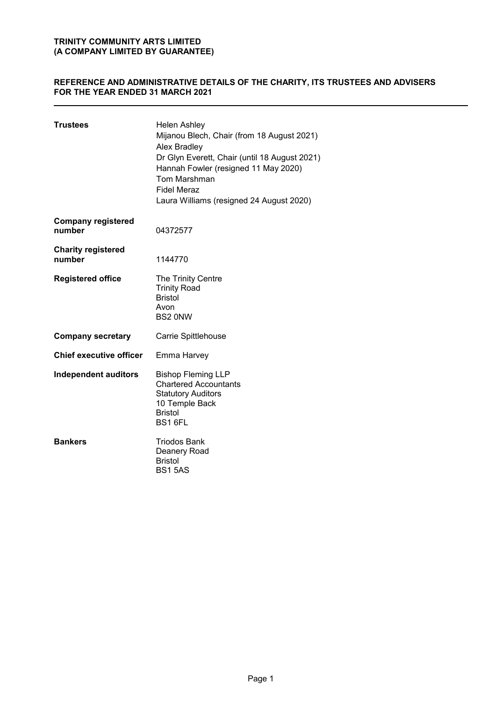### **REFERENCE AND ADMINISTRATIVE DETAILS OF THE CHARITY, ITS TRUSTEES AND ADVISERS FOR THE YEAR ENDED 31 MARCH 2021**

| <b>Trustees</b>                     | <b>Helen Ashley</b><br>Mijanou Blech, Chair (from 18 August 2021)<br>Alex Bradley<br>Dr Glyn Everett, Chair (until 18 August 2021)<br>Hannah Fowler (resigned 11 May 2020)<br><b>Tom Marshman</b><br><b>Fidel Meraz</b><br>Laura Williams (resigned 24 August 2020) |
|-------------------------------------|---------------------------------------------------------------------------------------------------------------------------------------------------------------------------------------------------------------------------------------------------------------------|
| <b>Company registered</b><br>number | 04372577                                                                                                                                                                                                                                                            |
| <b>Charity registered</b><br>number | 1144770                                                                                                                                                                                                                                                             |
| <b>Registered office</b>            | The Trinity Centre<br><b>Trinity Road</b><br><b>Bristol</b><br>Avon<br><b>BS2 ONW</b>                                                                                                                                                                               |
| <b>Company secretary</b>            | Carrie Spittlehouse                                                                                                                                                                                                                                                 |
| <b>Chief executive officer</b>      | Emma Harvey                                                                                                                                                                                                                                                         |
| <b>Independent auditors</b>         | <b>Bishop Fleming LLP</b><br><b>Chartered Accountants</b><br><b>Statutory Auditors</b><br>10 Temple Back<br><b>Bristol</b><br>BS1 6FL                                                                                                                               |
| <b>Bankers</b>                      | <b>Triodos Bank</b><br>Deanery Road<br><b>Bristol</b><br><b>BS15AS</b>                                                                                                                                                                                              |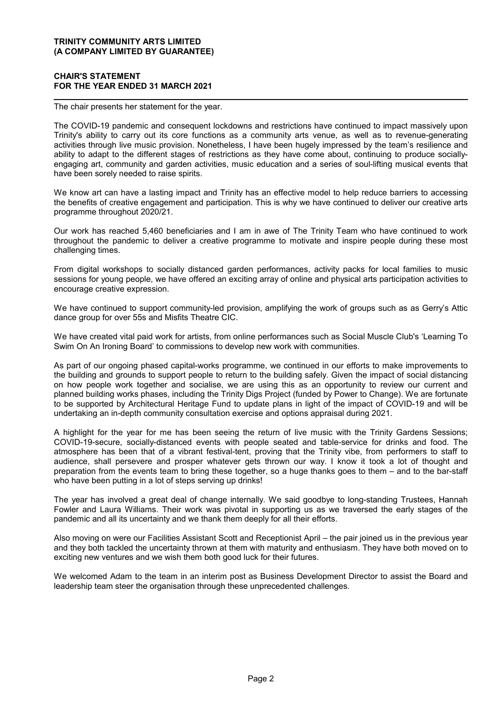### **CHAIR'S STATEMENT FOR THE YEAR ENDED 31 MARCH 2021**

The chair presents her statement for the year.

The COVID-19 pandemic and consequent lockdowns and restrictions have continued to impact massively upon Trinity's ability to carry out its core functions as a community arts venue, as well as to revenue-generating activities through live music provision. Nonetheless, I have been hugely impressed by the team's resilience and ability to adapt to the different stages of restrictions as they have come about, continuing to produce sociallyengaging art, community and garden activities, music education and a series of soul-lifting musical events that have been sorely needed to raise spirits.

We know art can have a lasting impact and Trinity has an effective model to help reduce barriers to accessing the benefits of creative engagement and participation. This is why we have continued to deliver our creative arts programme throughout 2020/21.

Our work has reached 5,460 beneficiaries and I am in awe of The Trinity Team who have continued to work throughout the pandemic to deliver a creative programme to motivate and inspire people during these most challenging times.

From digital workshops to socially distanced garden performances, activity packs for local families to music sessions for young people, we have offered an exciting array of online and physical arts participation activities to encourage creative expression.

We have continued to support community-led provision, amplifying the work of groups such as as Gerry's Attic dance group for over 55s and Misfits Theatre CIC.

We have created vital paid work for artists, from online performances such as Social Muscle Club's 'Learning To Swim On An Ironing Board' to commissions to develop new work with communities.

As part of our ongoing phased capital-works programme, we continued in our efforts to make improvements to the building and grounds to support people to return to the building safely. Given the impact of social distancing on how people work together and socialise, we are using this as an opportunity to review our current and planned building works phases, including the Trinity Digs Project (funded by Power to Change). We are fortunate to be supported by Architectural Heritage Fund to update plans in light of the impact of COVID-19 and will be undertaking an in-depth community consultation exercise and options appraisal during 2021.

A highlight for the year for me has been seeing the return of live music with the Trinity Gardens Sessions; COVID-19-secure, socially-distanced events with people seated and table-service for drinks and food. The atmosphere has been that of a vibrant festival-tent, proving that the Trinity vibe, from performers to staff to audience, shall persevere and prosper whatever gets thrown our way. I know it took a lot of thought and preparation from the events team to bring these together, so a huge thanks goes to them – and to the bar-staff who have been putting in a lot of steps serving up drinks!

The year has involved a great deal of change internally. We said goodbye to long-standing Trustees, Hannah Fowler and Laura Williams. Their work was pivotal in supporting us as we traversed the early stages of the pandemic and all its uncertainty and we thank them deeply for all their efforts.

Also moving on were our Facilities Assistant Scott and Receptionist April – the pair joined us in the previous year and they both tackled the uncertainty thrown at them with maturity and enthusiasm. They have both moved on to exciting new ventures and we wish them both good luck for their futures.

We welcomed Adam to the team in an interim post as Business Development Director to assist the Board and leadership team steer the organisation through these unprecedented challenges.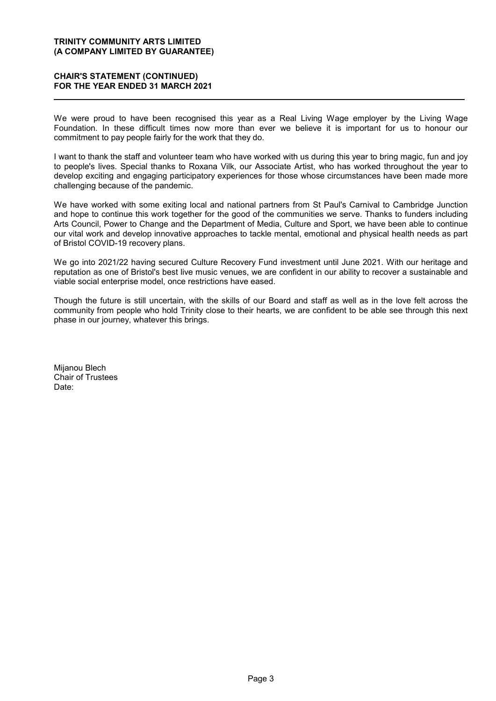### **CHAIR'S STATEMENT (CONTINUED) FOR THE YEAR ENDED 31 MARCH 2021**

We were proud to have been recognised this year as a Real Living Wage employer by the Living Wage Foundation. In these difficult times now more than ever we believe it is important for us to honour our commitment to pay people fairly for the work that they do.

I want to thank the staff and volunteer team who have worked with us during this year to bring magic, fun and joy to people's lives. Special thanks to Roxana Vilk, our Associate Artist, who has worked throughout the year to develop exciting and engaging participatory experiences for those whose circumstances have been made more challenging because of the pandemic.

We have worked with some exiting local and national partners from St Paul's Carnival to Cambridge Junction and hope to continue this work together for the good of the communities we serve. Thanks to funders including Arts Council, Power to Change and the Department of Media, Culture and Sport, we have been able to continue our vital work and develop innovative approaches to tackle mental, emotional and physical health needs as part of Bristol COVID-19 recovery plans.

We go into 2021/22 having secured Culture Recovery Fund investment until June 2021. With our heritage and reputation as one of Bristol's best live music venues, we are confident in our ability to recover a sustainable and viable social enterprise model, once restrictions have eased.

Though the future is still uncertain, with the skills of our Board and staff as well as in the love felt across the community from people who hold Trinity close to their hearts, we are confident to be able see through this next phase in our journey, whatever this brings.

Mijanou Blech Chair of Trustees Date: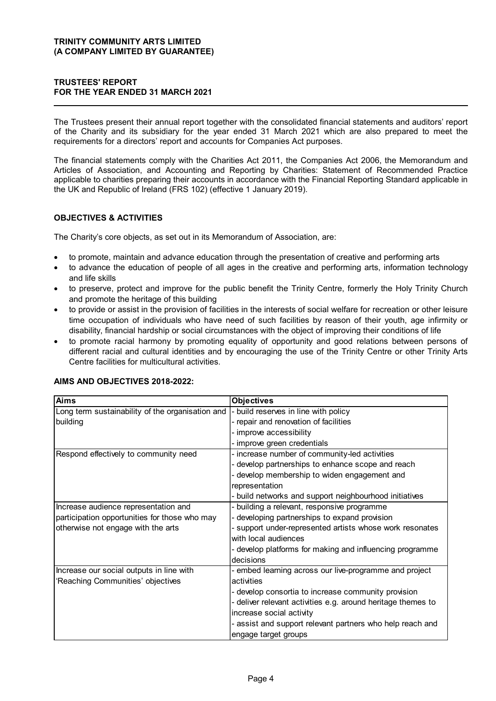### **TRUSTEES' REPORT FOR THE YEAR ENDED 31 MARCH 2021**

The Trustees present their annual report together with the consolidated financial statements and auditors' report of the Charity and its subsidiary for the year ended 31 March 2021 which are also prepared to meet the requirements for a directors' report and accounts for Companies Act purposes.

The financial statements comply with the Charities Act 2011, the Companies Act 2006, the Memorandum and Articles of Association, and Accounting and Reporting by Charities: Statement of Recommended Practice applicable to charities preparing their accounts in accordance with the Financial Reporting Standard applicable in the UK and Republic of Ireland (FRS 102) (effective 1 January 2019).

### **OBJECTIVES & ACTIVITIES**

The Charity's core objects, as set out in its Memorandum of Association, are:

- to promote, maintain and advance education through the presentation of creative and performing arts
- to advance the education of people of all ages in the creative and performing arts, information technology and life skills
- to preserve, protect and improve for the public benefit the Trinity Centre, formerly the Holy Trinity Church and promote the heritage of this building
- to provide or assist in the provision of facilities in the interests of social welfare for recreation or other leisure time occupation of individuals who have need of such facilities by reason of their youth, age infirmity or disability, financial hardship or social circumstances with the object of improving their conditions of life
- to promote racial harmony by promoting equality of opportunity and good relations between persons of different racial and cultural identities and by encouraging the use of the Trinity Centre or other Trinity Arts Centre facilities for multicultural activities.

| <b>Aims</b>                                      | <b>Objectives</b>                                            |
|--------------------------------------------------|--------------------------------------------------------------|
| Long term sustainability of the organisation and | - build reserves in line with policy                         |
| building                                         | - repair and renovation of facilities                        |
|                                                  | - improve accessibility                                      |
|                                                  | - improve green credentials                                  |
| Respond effectively to community need            | - increase number of community-led activities                |
|                                                  | - develop partnerships to enhance scope and reach            |
|                                                  | - develop membership to widen engagement and                 |
|                                                  | representation                                               |
|                                                  | - build networks and support neighbourhood initiatives       |
| Increase audience representation and             | - building a relevant, responsive programme                  |
| participation opportunities for those who may    | developing partnerships to expand provision                  |
| otherwise not engage with the arts               | - support under-represented artists whose work resonates     |
|                                                  | with local audiences                                         |
|                                                  | - develop platforms for making and influencing programme     |
|                                                  | decisions                                                    |
| Increase our social outputs in line with         | - embed learning across our live-programme and project       |
| Reaching Communities' objectives                 | activities                                                   |
|                                                  | - develop consortia to increase community provision          |
|                                                  | - deliver relevant activities e.g. around heritage themes to |
|                                                  | increase social activity                                     |
|                                                  | - assist and support relevant partners who help reach and    |
|                                                  | engage target groups                                         |

### **AIMS AND OBJECTIVES 2018-2022:**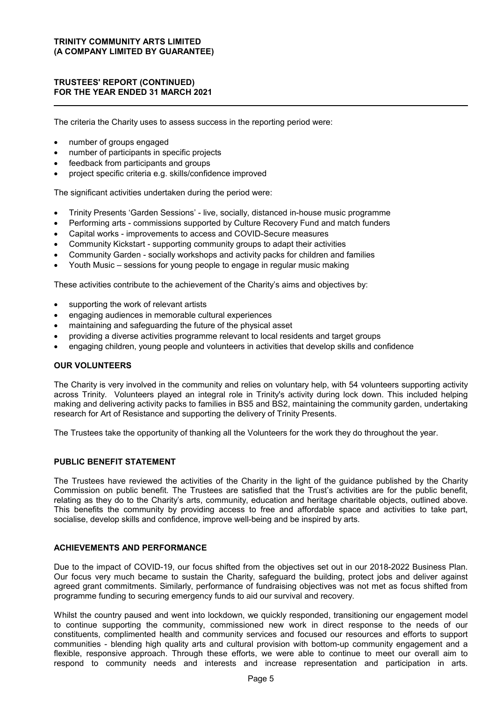The criteria the Charity uses to assess success in the reporting period were:

- number of groups engaged
- number of participants in specific projects
- feedback from participants and groups
- project specific criteria e.g. skills/confidence improved

The significant activities undertaken during the period were:

- Trinity Presents 'Garden Sessions' live, socially, distanced in-house music programme
- Performing arts commissions supported by Culture Recovery Fund and match funders
- Capital works improvements to access and COVID-Secure measures
- Community Kickstart supporting community groups to adapt their activities
- Community Garden socially workshops and activity packs for children and families
- Youth Music sessions for young people to engage in regular music making

These activities contribute to the achievement of the Charity's aims and objectives by:

- supporting the work of relevant artists
- engaging audiences in memorable cultural experiences
- maintaining and safeguarding the future of the physical asset
- providing a diverse activities programme relevant to local residents and target groups
- engaging children, young people and volunteers in activities that develop skills and confidence

#### **OUR VOLUNTEERS**

The Charity is very involved in the community and relies on voluntary help, with 54 volunteers supporting activity across Trinity. Volunteers played an integral role in Trinity's activity during lock down. This included helping making and delivering activity packs to families in BS5 and BS2, maintaining the community garden, undertaking research for Art of Resistance and supporting the delivery of Trinity Presents.

The Trustees take the opportunity of thanking all the Volunteers for the work they do throughout the year.

### **PUBLIC BENEFIT STATEMENT**

The Trustees have reviewed the activities of the Charity in the light of the guidance published by the Charity Commission on public benefit. The Trustees are satisfied that the Trust's activities are for the public benefit, relating as they do to the Charity's arts, community, education and heritage charitable objects, outlined above. This benefits the community by providing access to free and affordable space and activities to take part, socialise, develop skills and confidence, improve well-being and be inspired by arts.

### **ACHIEVEMENTS AND PERFORMANCE**

Due to the impact of COVID-19, our focus shifted from the objectives set out in our 2018-2022 Business Plan. Our focus very much became to sustain the Charity, safeguard the building, protect jobs and deliver against agreed grant commitments. Similarly, performance of fundraising objectives was not met as focus shifted from programme funding to securing emergency funds to aid our survival and recovery.

Whilst the country paused and went into lockdown, we quickly responded, transitioning our engagement model to continue supporting the community, commissioned new work in direct response to the needs of our constituents, complimented health and community services and focused our resources and efforts to support communities - blending high quality arts and cultural provision with bottom-up community engagement and a flexible, responsive approach. Through these efforts, we were able to continue to meet our overall aim to respond to community needs and interests and increase representation and participation in arts.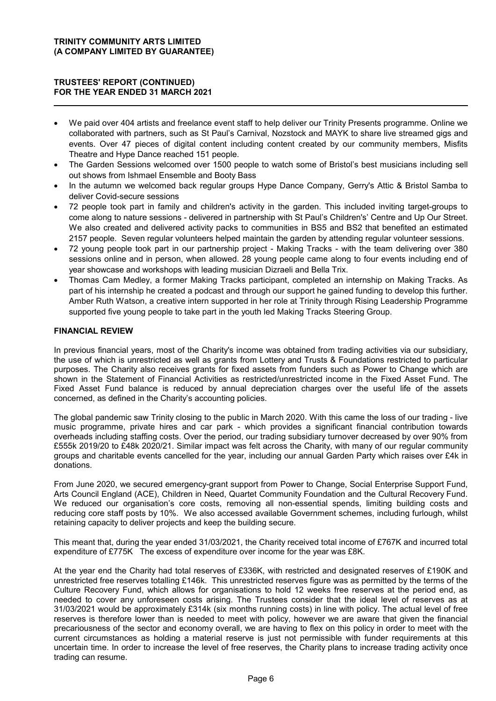- We paid over 404 artists and freelance event staff to help deliver our Trinity Presents programme. Online we collaborated with partners, such as St Paul's Carnival, Nozstock and MAYK to share live streamed gigs and events. Over 47 pieces of digital content including content created by our community members, Misfits Theatre and Hype Dance reached 151 people.
- The Garden Sessions welcomed over 1500 people to watch some of Bristol's best musicians including sell out shows from Ishmael Ensemble and Booty Bass
- In the autumn we welcomed back regular groups Hype Dance Company, Gerry's Attic & Bristol Samba to deliver Covid-secure sessions
- 72 people took part in family and children's activity in the garden. This included inviting target-groups to come along to nature sessions - delivered in partnership with St Paul's Children's' Centre and Up Our Street. We also created and delivered activity packs to communities in BS5 and BS2 that benefited an estimated 2157 people. Seven regular volunteers helped maintain the garden by attending regular volunteer sessions.
- 72 young people took part in our partnership project Making Tracks with the team delivering over 380 sessions online and in person, when allowed. 28 young people came along to four events including end of year showcase and workshops with leading musician Dizraeli and Bella Trix.
- Thomas Cam Medley, a former Making Tracks participant, completed an internship on Making Tracks. As part of his internship he created a podcast and through our support he gained funding to develop this further. Amber Ruth Watson, a creative intern supported in her role at Trinity through Rising Leadership Programme supported five young people to take part in the youth led Making Tracks Steering Group.

### **FINANCIAL REVIEW**

In previous financial years, most of the Charity's income was obtained from trading activities via our subsidiary, the use of which is unrestricted as well as grants from Lottery and Trusts & Foundations restricted to particular purposes. The Charity also receives grants for fixed assets from funders such as Power to Change which are shown in the Statement of Financial Activities as restricted/unrestricted income in the Fixed Asset Fund. The Fixed Asset Fund balance is reduced by annual depreciation charges over the useful life of the assets concerned, as defined in the Charity's accounting policies.

The global pandemic saw Trinity closing to the public in March 2020. With this came the loss of our trading - live music programme, private hires and car park - which provides a significant financial contribution towards overheads including staffing costs. Over the period, our trading subsidiary turnover decreased by over 90% from £555k 2019/20 to £48k 2020/21. Similar impact was felt across the Charity, with many of our regular community groups and charitable events cancelled for the year, including our annual Garden Party which raises over £4k in donations.

From June 2020, we secured emergency-grant support from Power to Change, Social Enterprise Support Fund, Arts Council England (ACE), Children in Need, Quartet Community Foundation and the Cultural Recovery Fund. We reduced our organisation's core costs, removing all non-essential spends, limiting building costs and reducing core staff posts by 10%. We also accessed available Government schemes, including furlough, whilst retaining capacity to deliver projects and keep the building secure.

This meant that, during the year ended 31/03/2021, the Charity received total income of £767K and incurred total expenditure of £775K The excess of expenditure over income for the year was £8K.

At the year end the Charity had total reserves of £336K, with restricted and designated reserves of £190K and unrestricted free reserves totalling £146k. This unrestricted reserves figure was as permitted by the terms of the Culture Recovery Fund, which allows for organisations to hold 12 weeks free reserves at the period end, as needed to cover any unforeseen costs arising. The Trustees consider that the ideal level of reserves as at 31/03/2021 would be approximately £314k (six months running costs) in line with policy. The actual level of free reserves is therefore lower than is needed to meet with policy, however we are aware that given the financial precariousness of the sector and economy overall, we are having to flex on this policy in order to meet with the current circumstances as holding a material reserve is just not permissible with funder requirements at this uncertain time. In order to increase the level of free reserves, the Charity plans to increase trading activity once trading can resume.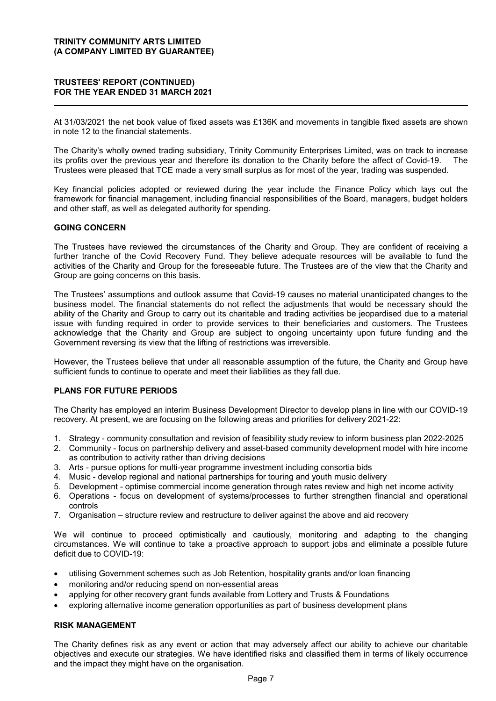At 31/03/2021 the net book value of fixed assets was £136K and movements in tangible fixed assets are shown in note 12 to the financial statements.

The Charity's wholly owned trading subsidiary, Trinity Community Enterprises Limited, was on track to increase its profits over the previous year and therefore its donation to the Charity before the affect of Covid-19. The Trustees were pleased that TCE made a very small surplus as for most of the year, trading was suspended.

Key financial policies adopted or reviewed during the year include the Finance Policy which lays out the framework for financial management, including financial responsibilities of the Board, managers, budget holders and other staff, as well as delegated authority for spending.

### **GOING CONCERN**

The Trustees have reviewed the circumstances of the Charity and Group. They are confident of receiving a further tranche of the Covid Recovery Fund. They believe adequate resources will be available to fund the activities of the Charity and Group for the foreseeable future. The Trustees are of the view that the Charity and Group are going concerns on this basis.

The Trustees' assumptions and outlook assume that Covid-19 causes no material unanticipated changes to the business model. The financial statements do not reflect the adjustments that would be necessary should the ability of the Charity and Group to carry out its charitable and trading activities be jeopardised due to a material issue with funding required in order to provide services to their beneficiaries and customers. The Trustees acknowledge that the Charity and Group are subject to ongoing uncertainty upon future funding and the Government reversing its view that the lifting of restrictions was irreversible.

However, the Trustees believe that under all reasonable assumption of the future, the Charity and Group have sufficient funds to continue to operate and meet their liabilities as they fall due.

### **PLANS FOR FUTURE PERIODS**

The Charity has employed an interim Business Development Director to develop plans in line with our COVID-19 recovery. At present, we are focusing on the following areas and priorities for delivery 2021-22:

- 1. Strategy community consultation and revision of feasibility study review to inform business plan 2022-2025
- 2. Community focus on partnership delivery and asset-based community development model with hire income as contribution to activity rather than driving decisions
- 3. Arts pursue options for multi-year programme investment including consortia bids
- 4. Music develop regional and national partnerships for touring and youth music delivery
- 5. Development optimise commercial income generation through rates review and high net income activity
- 6. Operations focus on development of systems/processes to further strengthen financial and operational controls
- 7. Organisation structure review and restructure to deliver against the above and aid recovery

We will continue to proceed optimistically and cautiously, monitoring and adapting to the changing circumstances. We will continue to take a proactive approach to support jobs and eliminate a possible future deficit due to COVID-19:

- utilising Government schemes such as Job Retention, hospitality grants and/or loan financing
- monitoring and/or reducing spend on non-essential areas
- applying for other recovery grant funds available from Lottery and Trusts & Foundations
- exploring alternative income generation opportunities as part of business development plans

### **RISK MANAGEMENT**

The Charity defines risk as any event or action that may adversely affect our ability to achieve our charitable objectives and execute our strategies. We have identified risks and classified them in terms of likely occurrence and the impact they might have on the organisation.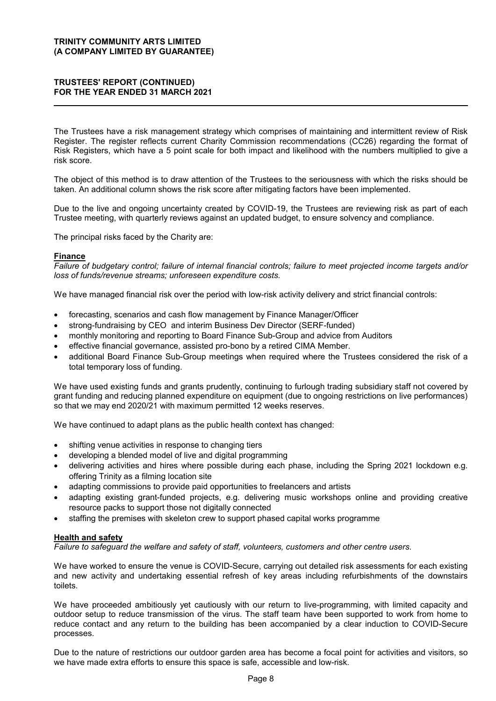The Trustees have a risk management strategy which comprises of maintaining and intermittent review of Risk Register. The register reflects current Charity Commission recommendations (CC26) regarding the format of Risk Registers, which have a 5 point scale for both impact and likelihood with the numbers multiplied to give a risk score.

The object of this method is to draw attention of the Trustees to the seriousness with which the risks should be taken. An additional column shows the risk score after mitigating factors have been implemented.

Due to the live and ongoing uncertainty created by COVID-19, the Trustees are reviewing risk as part of each Trustee meeting, with quarterly reviews against an updated budget, to ensure solvency and compliance.

The principal risks faced by the Charity are:

#### **Finance**

*Failure of budgetary control; failure of internal financial controls; failure to meet projected income targets and/or loss of funds/revenue streams; unforeseen expenditure costs.*

We have managed financial risk over the period with low-risk activity delivery and strict financial controls:

- forecasting, scenarios and cash flow management by Finance Manager/Officer
- strong-fundraising by CEO and interim Business Dev Director (SERF-funded)
- monthly monitoring and reporting to Board Finance Sub-Group and advice from Auditors
- effective financial governance, assisted pro-bono by a retired CIMA Member.
- additional Board Finance Sub-Group meetings when required where the Trustees considered the risk of a total temporary loss of funding.

We have used existing funds and grants prudently, continuing to furlough trading subsidiary staff not covered by grant funding and reducing planned expenditure on equipment (due to ongoing restrictions on live performances) so that we may end 2020/21 with maximum permitted 12 weeks reserves.

We have continued to adapt plans as the public health context has changed:

- shifting venue activities in response to changing tiers
- developing a blended model of live and digital programming
- delivering activities and hires where possible during each phase, including the Spring 2021 lockdown e.g. offering Trinity as a filming location site
- adapting commissions to provide paid opportunities to freelancers and artists
- adapting existing grant-funded projects, e.g. delivering music workshops online and providing creative resource packs to support those not digitally connected
- staffing the premises with skeleton crew to support phased capital works programme

#### **Health and safety**

*Failure to safeguard the welfare and safety of staff, volunteers, customers and other centre users.*

We have worked to ensure the venue is COVID-Secure, carrying out detailed risk assessments for each existing and new activity and undertaking essential refresh of key areas including refurbishments of the downstairs toilets.

We have proceeded ambitiously yet cautiously with our return to live-programming, with limited capacity and outdoor setup to reduce transmission of the virus. The staff team have been supported to work from home to reduce contact and any return to the building has been accompanied by a clear induction to COVID-Secure processes.

Due to the nature of restrictions our outdoor garden area has become a focal point for activities and visitors, so we have made extra efforts to ensure this space is safe, accessible and low-risk.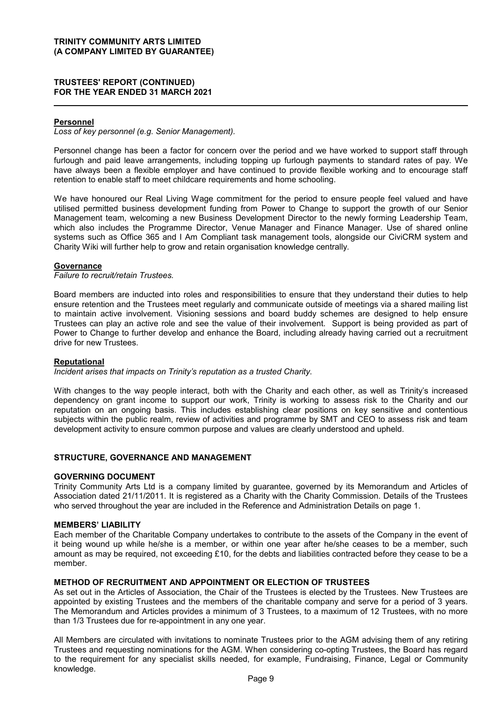### **Personnel**

*Loss of key personnel (e.g. Senior Management).*

Personnel change has been a factor for concern over the period and we have worked to support staff through furlough and paid leave arrangements, including topping up furlough payments to standard rates of pay. We have always been a flexible employer and have continued to provide flexible working and to encourage staff retention to enable staff to meet childcare requirements and home schooling.

We have honoured our Real Living Wage commitment for the period to ensure people feel valued and have utilised permitted business development funding from Power to Change to support the growth of our Senior Management team, welcoming a new Business Development Director to the newly forming Leadership Team, which also includes the Programme Director, Venue Manager and Finance Manager. Use of shared online systems such as Office 365 and I Am Compliant task management tools, alongside our CiviCRM system and Charity Wiki will further help to grow and retain organisation knowledge centrally.

#### **Governance**

*Failure to recruit/retain Trustees.*

Board members are inducted into roles and responsibilities to ensure that they understand their duties to help ensure retention and the Trustees meet regularly and communicate outside of meetings via a shared mailing list to maintain active involvement. Visioning sessions and board buddy schemes are designed to help ensure Trustees can play an active role and see the value of their involvement. Support is being provided as part of Power to Change to further develop and enhance the Board, including already having carried out a recruitment drive for new Trustees.

#### **Reputational**

*Incident arises that impacts on Trinity's reputation as a trusted Charity.*

With changes to the way people interact, both with the Charity and each other, as well as Trinity's increased dependency on grant income to support our work, Trinity is working to assess risk to the Charity and our reputation on an ongoing basis. This includes establishing clear positions on key sensitive and contentious subjects within the public realm, review of activities and programme by SMT and CEO to assess risk and team development activity to ensure common purpose and values are clearly understood and upheld.

#### **STRUCTURE, GOVERNANCE AND MANAGEMENT**

#### **GOVERNING DOCUMENT**

Trinity Community Arts Ltd is a company limited by guarantee, governed by its Memorandum and Articles of Association dated 21/11/2011. It is registered as a Charity with the Charity Commission. Details of the Trustees who served throughout the year are included in the Reference and Administration Details on page 1.

#### **MEMBERS' LIABILITY**

Each member of the Charitable Company undertakes to contribute to the assets of the Company in the event of it being wound up while he/she is a member, or within one year after he/she ceases to be a member, such amount as may be required, not exceeding £10, for the debts and liabilities contracted before they cease to be a member.

### **METHOD OF RECRUITMENT AND APPOINTMENT OR ELECTION OF TRUSTEES**

As set out in the Articles of Association, the Chair of the Trustees is elected by the Trustees. New Trustees are appointed by existing Trustees and the members of the charitable company and serve for a period of 3 years. The Memorandum and Articles provides a minimum of 3 Trustees, to a maximum of 12 Trustees, with no more than 1/3 Trustees due for re-appointment in any one year.

All Members are circulated with invitations to nominate Trustees prior to the AGM advising them of any retiring Trustees and requesting nominations for the AGM. When considering co-opting Trustees, the Board has regard to the requirement for any specialist skills needed, for example, Fundraising, Finance, Legal or Community knowledge.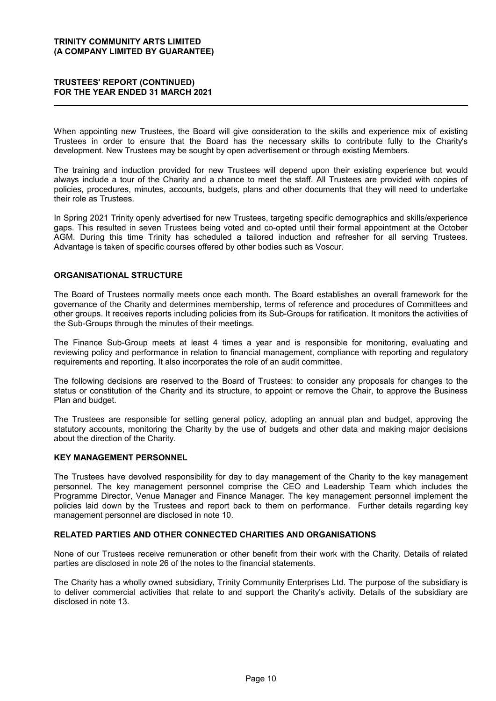### **TRUSTEES' REPORT (CONTINUED) FOR THE YEAR ENDED 31 MARCH 2021**

When appointing new Trustees, the Board will give consideration to the skills and experience mix of existing Trustees in order to ensure that the Board has the necessary skills to contribute fully to the Charity's development. New Trustees may be sought by open advertisement or through existing Members.

The training and induction provided for new Trustees will depend upon their existing experience but would always include a tour of the Charity and a chance to meet the staff. All Trustees are provided with copies of policies, procedures, minutes, accounts, budgets, plans and other documents that they will need to undertake their role as Trustees.

In Spring 2021 Trinity openly advertised for new Trustees, targeting specific demographics and skills/experience gaps. This resulted in seven Trustees being voted and co-opted until their formal appointment at the October AGM. During this time Trinity has scheduled a tailored induction and refresher for all serving Trustees. Advantage is taken of specific courses offered by other bodies such as Voscur.

### **ORGANISATIONAL STRUCTURE**

The Board of Trustees normally meets once each month. The Board establishes an overall framework for the governance of the Charity and determines membership, terms of reference and procedures of Committees and other groups. It receives reports including policies from its Sub-Groups for ratification. It monitors the activities of the Sub-Groups through the minutes of their meetings.

The Finance Sub-Group meets at least 4 times a year and is responsible for monitoring, evaluating and reviewing policy and performance in relation to financial management, compliance with reporting and regulatory requirements and reporting. It also incorporates the role of an audit committee.

The following decisions are reserved to the Board of Trustees: to consider any proposals for changes to the status or constitution of the Charity and its structure, to appoint or remove the Chair, to approve the Business Plan and budget.

The Trustees are responsible for setting general policy, adopting an annual plan and budget, approving the statutory accounts, monitoring the Charity by the use of budgets and other data and making major decisions about the direction of the Charity.

#### **KEY MANAGEMENT PERSONNEL**

The Trustees have devolved responsibility for day to day management of the Charity to the key management personnel. The key management personnel comprise the CEO and Leadership Team which includes the Programme Director, Venue Manager and Finance Manager. The key management personnel implement the policies laid down by the Trustees and report back to them on performance. Further details regarding key management personnel are disclosed in note 10.

#### **RELATED PARTIES AND OTHER CONNECTED CHARITIES AND ORGANISATIONS**

None of our Trustees receive remuneration or other benefit from their work with the Charity. Details of related parties are disclosed in note 26 of the notes to the financial statements.

The Charity has a wholly owned subsidiary, Trinity Community Enterprises Ltd. The purpose of the subsidiary is to deliver commercial activities that relate to and support the Charity's activity. Details of the subsidiary are disclosed in note 13.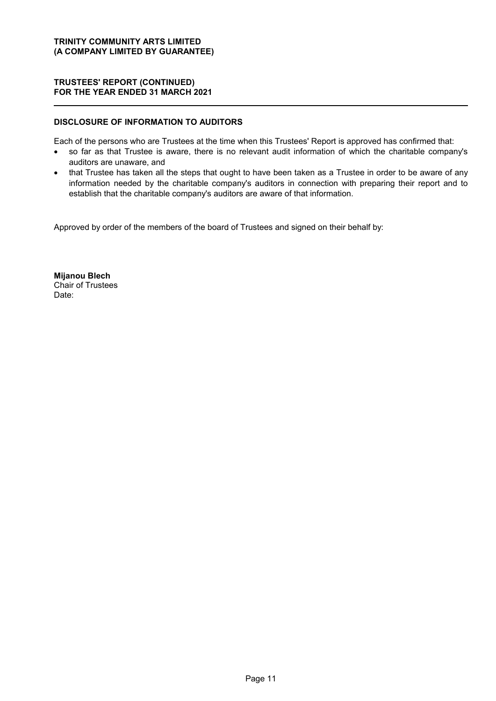### **DISCLOSURE OF INFORMATION TO AUDITORS**

Each of the persons who are Trustees at the time when this Trustees' Report is approved has confirmed that:

- so far as that Trustee is aware, there is no relevant audit information of which the charitable company's auditors are unaware, and
- that Trustee has taken all the steps that ought to have been taken as a Trustee in order to be aware of any information needed by the charitable company's auditors in connection with preparing their report and to establish that the charitable company's auditors are aware of that information.

Approved by order of the members of the board of Trustees and signed on their behalf by:

**Mijanou Blech** Chair of Trustees Date: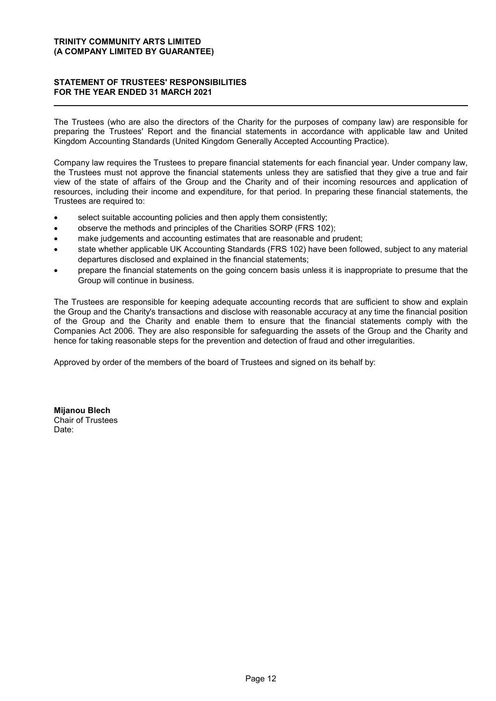### **STATEMENT OF TRUSTEES' RESPONSIBILITIES FOR THE YEAR ENDED 31 MARCH 2021**

The Trustees (who are also the directors of the Charity for the purposes of company law) are responsible for preparing the Trustees' Report and the financial statements in accordance with applicable law and United Kingdom Accounting Standards (United Kingdom Generally Accepted Accounting Practice).

Company law requires the Trustees to prepare financial statements for each financial year. Under company law, the Trustees must not approve the financial statements unless they are satisfied that they give a true and fair view of the state of affairs of the Group and the Charity and of their incoming resources and application of resources, including their income and expenditure, for that period. In preparing these financial statements, the Trustees are required to:

- select suitable accounting policies and then apply them consistently;
- observe the methods and principles of the Charities SORP (FRS 102);
- make judgements and accounting estimates that are reasonable and prudent;
- state whether applicable UK Accounting Standards (FRS 102) have been followed, subject to any material departures disclosed and explained in the financial statements;
- prepare the financial statements on the going concern basis unless it is inappropriate to presume that the Group will continue in business.

The Trustees are responsible for keeping adequate accounting records that are sufficient to show and explain the Group and the Charity's transactions and disclose with reasonable accuracy at any time the financial position of the Group and the Charity and enable them to ensure that the financial statements comply with the Companies Act 2006. They are also responsible for safeguarding the assets of the Group and the Charity and hence for taking reasonable steps for the prevention and detection of fraud and other irregularities.

Approved by order of the members of the board of Trustees and signed on its behalf by:

**Mijanou Blech** Chair of Trustees Date: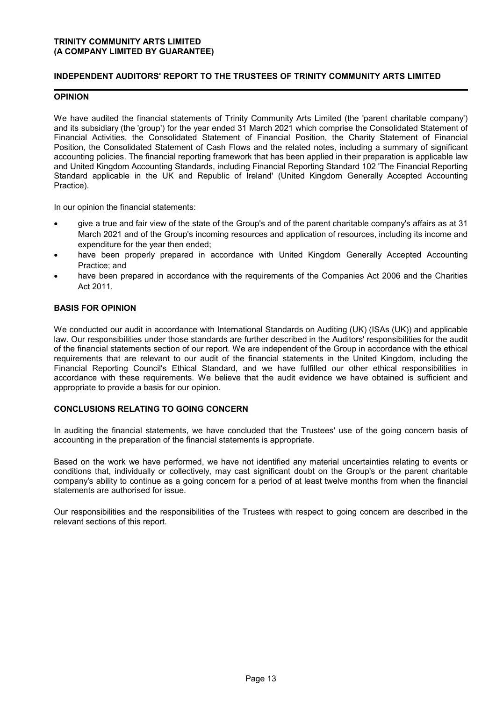### **INDEPENDENT AUDITORS' REPORT TO THE TRUSTEES OF TRINITY COMMUNITY ARTS LIMITED**

### **OPINION**

We have audited the financial statements of Trinity Community Arts Limited (the 'parent charitable company') and its subsidiary (the 'group') for the year ended 31 March 2021 which comprise the Consolidated Statement of Financial Activities, the Consolidated Statement of Financial Position, the Charity Statement of Financial Position, the Consolidated Statement of Cash Flows and the related notes, including a summary of significant accounting policies. The financial reporting framework that has been applied in their preparation is applicable law and United Kingdom Accounting Standards, including Financial Reporting Standard 102 'The Financial Reporting Standard applicable in the UK and Republic of Ireland' (United Kingdom Generally Accepted Accounting Practice).

In our opinion the financial statements:

- give a true and fair view of the state of the Group's and of the parent charitable company's affairs as at 31 March 2021 and of the Group's incoming resources and application of resources, including its income and expenditure for the year then ended;
- have been properly prepared in accordance with United Kingdom Generally Accepted Accounting Practice; and
- have been prepared in accordance with the requirements of the Companies Act 2006 and the Charities Act 2011.

### **BASIS FOR OPINION**

We conducted our audit in accordance with International Standards on Auditing (UK) (ISAs (UK)) and applicable law. Our responsibilities under those standards are further described in the Auditors' responsibilities for the audit of the financial statements section of our report. We are independent of the Group in accordance with the ethical requirements that are relevant to our audit of the financial statements in the United Kingdom, including the Financial Reporting Council's Ethical Standard, and we have fulfilled our other ethical responsibilities in accordance with these requirements. We believe that the audit evidence we have obtained is sufficient and appropriate to provide a basis for our opinion.

#### **CONCLUSIONS RELATING TO GOING CONCERN**

In auditing the financial statements, we have concluded that the Trustees' use of the going concern basis of accounting in the preparation of the financial statements is appropriate.

Based on the work we have performed, we have not identified any material uncertainties relating to events or conditions that, individually or collectively, may cast significant doubt on the Group's or the parent charitable company's ability to continue as a going concern for a period of at least twelve months from when the financial statements are authorised for issue.

Our responsibilities and the responsibilities of the Trustees with respect to going concern are described in the relevant sections of this report.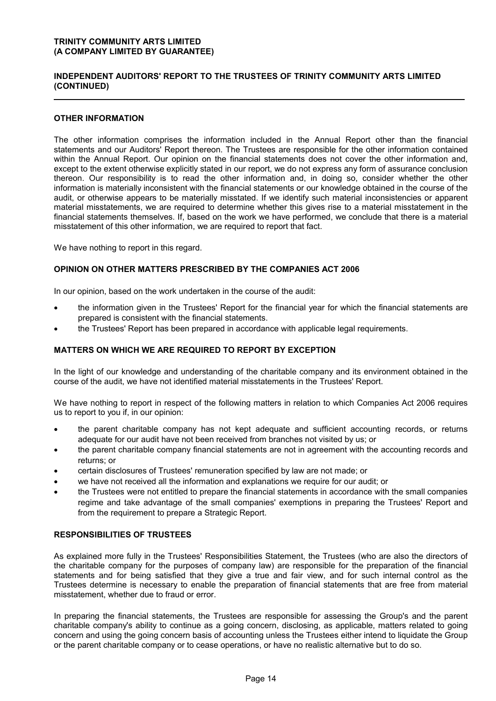### **INDEPENDENT AUDITORS' REPORT TO THE TRUSTEES OF TRINITY COMMUNITY ARTS LIMITED (CONTINUED)**

### **OTHER INFORMATION**

The other information comprises the information included in the Annual Report other than the financial statements and our Auditors' Report thereon. The Trustees are responsible for the other information contained within the Annual Report. Our opinion on the financial statements does not cover the other information and, except to the extent otherwise explicitly stated in our report, we do not express any form of assurance conclusion thereon. Our responsibility is to read the other information and, in doing so, consider whether the other information is materially inconsistent with the financial statements or our knowledge obtained in the course of the audit, or otherwise appears to be materially misstated. If we identify such material inconsistencies or apparent material misstatements, we are required to determine whether this gives rise to a material misstatement in the financial statements themselves. If, based on the work we have performed, we conclude that there is a material misstatement of this other information, we are required to report that fact.

We have nothing to report in this regard.

#### **OPINION ON OTHER MATTERS PRESCRIBED BY THE COMPANIES ACT 2006**

In our opinion, based on the work undertaken in the course of the audit:

- the information given in the Trustees' Report for the financial year for which the financial statements are prepared is consistent with the financial statements.
- the Trustees' Report has been prepared in accordance with applicable legal requirements.

### **MATTERS ON WHICH WE ARE REQUIRED TO REPORT BY EXCEPTION**

In the light of our knowledge and understanding of the charitable company and its environment obtained in the course of the audit, we have not identified material misstatements in the Trustees' Report.

We have nothing to report in respect of the following matters in relation to which Companies Act 2006 requires us to report to you if, in our opinion:

- the parent charitable company has not kept adequate and sufficient accounting records, or returns adequate for our audit have not been received from branches not visited by us; or
- the parent charitable company financial statements are not in agreement with the accounting records and returns; or
- certain disclosures of Trustees' remuneration specified by law are not made; or
- we have not received all the information and explanations we require for our audit; or
- the Trustees were not entitled to prepare the financial statements in accordance with the small companies regime and take advantage of the small companies' exemptions in preparing the Trustees' Report and from the requirement to prepare a Strategic Report.

### **RESPONSIBILITIES OF TRUSTEES**

As explained more fully in the Trustees' Responsibilities Statement, the Trustees (who are also the directors of the charitable company for the purposes of company law) are responsible for the preparation of the financial statements and for being satisfied that they give a true and fair view, and for such internal control as the Trustees determine is necessary to enable the preparation of financial statements that are free from material misstatement, whether due to fraud or error.

In preparing the financial statements, the Trustees are responsible for assessing the Group's and the parent charitable company's ability to continue as a going concern, disclosing, as applicable, matters related to going concern and using the going concern basis of accounting unless the Trustees either intend to liquidate the Group or the parent charitable company or to cease operations, or have no realistic alternative but to do so.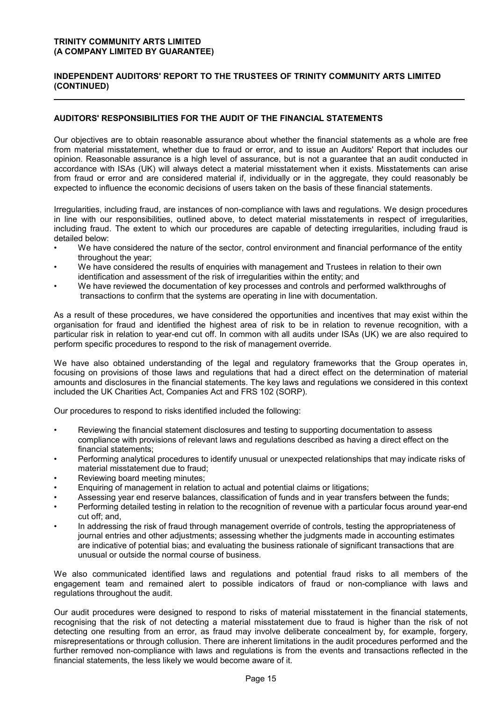### **INDEPENDENT AUDITORS' REPORT TO THE TRUSTEES OF TRINITY COMMUNITY ARTS LIMITED (CONTINUED)**

### **AUDITORS' RESPONSIBILITIES FOR THE AUDIT OF THE FINANCIAL STATEMENTS**

Our objectives are to obtain reasonable assurance about whether the financial statements as a whole are free from material misstatement, whether due to fraud or error, and to issue an Auditors' Report that includes our opinion. Reasonable assurance is a high level of assurance, but is not a guarantee that an audit conducted in accordance with ISAs (UK) will always detect a material misstatement when it exists. Misstatements can arise from fraud or error and are considered material if, individually or in the aggregate, they could reasonably be expected to influence the economic decisions of users taken on the basis of these financial statements.

Irregularities, including fraud, are instances of non-compliance with laws and regulations. We design procedures in line with our responsibilities, outlined above, to detect material misstatements in respect of irregularities, including fraud. The extent to which our procedures are capable of detecting irregularities, including fraud is detailed below:

- We have considered the nature of the sector, control environment and financial performance of the entity throughout the year;
- We have considered the results of enquiries with management and Trustees in relation to their own identification and assessment of the risk of irregularities within the entity; and
- We have reviewed the documentation of key processes and controls and performed walkthroughs of transactions to confirm that the systems are operating in line with documentation.

As a result of these procedures, we have considered the opportunities and incentives that may exist within the organisation for fraud and identified the highest area of risk to be in relation to revenue recognition, with a particular risk in relation to year-end cut off. In common with all audits under ISAs (UK) we are also required to perform specific procedures to respond to the risk of management override.

We have also obtained understanding of the legal and regulatory frameworks that the Group operates in, focusing on provisions of those laws and regulations that had a direct effect on the determination of material amounts and disclosures in the financial statements. The key laws and regulations we considered in this context included the UK Charities Act, Companies Act and FRS 102 (SORP).

Our procedures to respond to risks identified included the following:

- Reviewing the financial statement disclosures and testing to supporting documentation to assess compliance with provisions of relevant laws and regulations described as having a direct effect on the financial statements;
- Performing analytical procedures to identify unusual or unexpected relationships that may indicate risks of material misstatement due to fraud;
- Reviewing board meeting minutes;
- Enquiring of management in relation to actual and potential claims or litigations;
- Assessing year end reserve balances, classification of funds and in year transfers between the funds;
- Performing detailed testing in relation to the recognition of revenue with a particular focus around year-end cut off; and,
- In addressing the risk of fraud through management override of controls, testing the appropriateness of journal entries and other adjustments; assessing whether the judgments made in accounting estimates are indicative of potential bias; and evaluating the business rationale of significant transactions that are unusual or outside the normal course of business.

We also communicated identified laws and regulations and potential fraud risks to all members of the engagement team and remained alert to possible indicators of fraud or non-compliance with laws and regulations throughout the audit.

Our audit procedures were designed to respond to risks of material misstatement in the financial statements, recognising that the risk of not detecting a material misstatement due to fraud is higher than the risk of not detecting one resulting from an error, as fraud may involve deliberate concealment by, for example, forgery, misrepresentations or through collusion. There are inherent limitations in the audit procedures performed and the further removed non-compliance with laws and regulations is from the events and transactions reflected in the financial statements, the less likely we would become aware of it.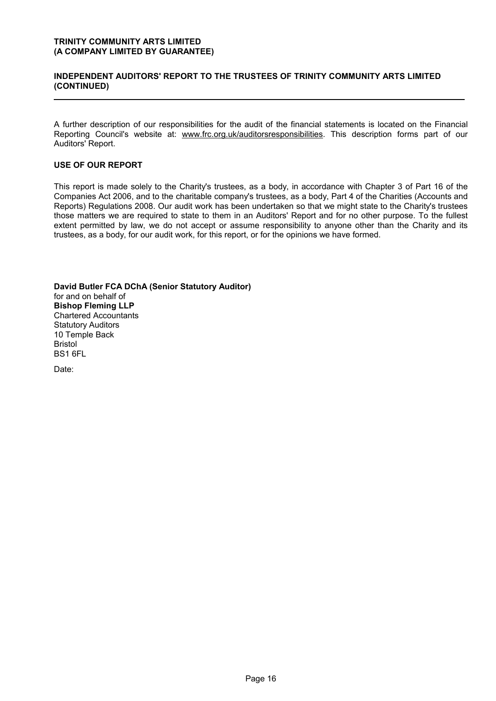### **INDEPENDENT AUDITORS' REPORT TO THE TRUSTEES OF TRINITY COMMUNITY ARTS LIMITED (CONTINUED)**

A further description of our responsibilities for the audit of the financial statements is located on the Financial Reporting Council's website at: www.frc.org.uk/auditorsresponsibilities. This description forms part of our Auditors' Report.

### **USE OF OUR REPORT**

This report is made solely to the Charity's trustees, as a body, in accordance with Chapter 3 of Part 16 of the Companies Act 2006, and to the charitable company's trustees, as a body, Part 4 of the Charities (Accounts and Reports) Regulations 2008. Our audit work has been undertaken so that we might state to the Charity's trustees those matters we are required to state to them in an Auditors' Report and for no other purpose. To the fullest extent permitted by law, we do not accept or assume responsibility to anyone other than the Charity and its trustees, as a body, for our audit work, for this report, or for the opinions we have formed.

**David Butler FCA DChA (Senior Statutory Auditor)** for and on behalf of **Bishop Fleming LLP** Chartered Accountants Statutory Auditors 10 Temple Back Bristol BS1 6FL

Date: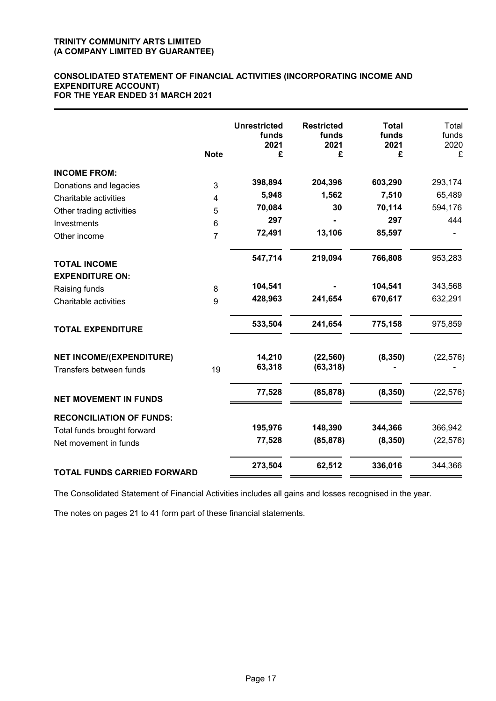### **CONSOLIDATED STATEMENT OF FINANCIAL ACTIVITIES (INCORPORATING INCOME AND EXPENDITURE ACCOUNT) FOR THE YEAR ENDED 31 MARCH 2021**

|                                    | <b>Note</b>    | <b>Unrestricted</b><br>funds<br>2021<br>£ | <b>Restricted</b><br>funds<br>2021<br>£ | <b>Total</b><br>funds<br>2021<br>£ | Total<br>funds<br>2020<br>£ |
|------------------------------------|----------------|-------------------------------------------|-----------------------------------------|------------------------------------|-----------------------------|
| <b>INCOME FROM:</b>                |                |                                           |                                         |                                    |                             |
| Donations and legacies             | 3              | 398,894                                   | 204,396                                 | 603,290                            | 293,174                     |
| Charitable activities              | $\overline{4}$ | 5,948                                     | 1,562                                   | 7,510                              | 65,489                      |
| Other trading activities           | 5              | 70,084                                    | 30                                      | 70,114                             | 594,176                     |
| Investments                        | 6              | 297                                       |                                         | 297                                | 444                         |
| Other income                       | $\overline{7}$ | 72,491                                    | 13,106                                  | 85,597                             |                             |
| <b>TOTAL INCOME</b>                |                | 547,714                                   | 219,094                                 | 766,808                            | 953,283                     |
| <b>EXPENDITURE ON:</b>             |                |                                           |                                         |                                    |                             |
| Raising funds                      | 8              | 104,541                                   |                                         | 104,541                            | 343,568                     |
| Charitable activities              | 9              | 428,963                                   | 241,654                                 | 670,617                            | 632,291                     |
| <b>TOTAL EXPENDITURE</b>           |                | 533,504                                   | 241,654                                 | 775,158                            | 975,859                     |
| <b>NET INCOME/(EXPENDITURE)</b>    |                | 14,210                                    | (22, 560)                               | (8, 350)                           | (22, 576)                   |
| Transfers between funds            | 19             | 63,318                                    | (63, 318)                               |                                    |                             |
| <b>NET MOVEMENT IN FUNDS</b>       |                | 77,528                                    | (85, 878)                               | (8, 350)                           | (22, 576)                   |
| <b>RECONCILIATION OF FUNDS:</b>    |                |                                           |                                         |                                    |                             |
| Total funds brought forward        |                | 195,976                                   | 148,390                                 | 344,366                            | 366,942                     |
| Net movement in funds              |                | 77,528                                    | (85, 878)                               | (8, 350)                           | (22, 576)                   |
| <b>TOTAL FUNDS CARRIED FORWARD</b> |                | 273,504                                   | 62,512                                  | 336,016                            | 344,366                     |

The Consolidated Statement of Financial Activities includes all gains and losses recognised in the year.

The notes on pages 21 to 41 form part of these financial statements.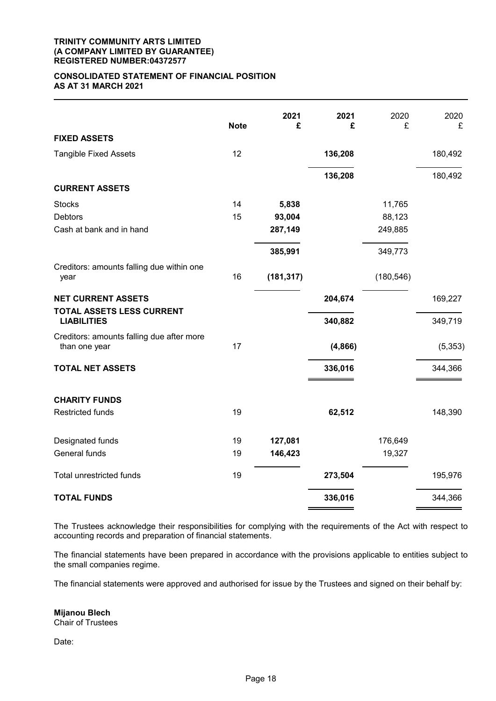#### **TRINITY COMMUNITY ARTS LIMITED (A COMPANY LIMITED BY GUARANTEE) REGISTERED NUMBER:04372577**

### **CONSOLIDATED STATEMENT OF FINANCIAL POSITION AS AT 31 MARCH 2021**

|                                                   | <b>Note</b> | 2021<br>£  | 2021<br>£ | 2020<br>£  | 2020<br>£ |
|---------------------------------------------------|-------------|------------|-----------|------------|-----------|
| <b>FIXED ASSETS</b>                               |             |            |           |            |           |
| <b>Tangible Fixed Assets</b>                      | 12          |            | 136,208   |            | 180,492   |
|                                                   |             |            | 136,208   |            | 180,492   |
| <b>CURRENT ASSETS</b>                             |             |            |           |            |           |
| <b>Stocks</b>                                     | 14          | 5,838      |           | 11,765     |           |
| <b>Debtors</b>                                    | 15          | 93,004     |           | 88,123     |           |
| Cash at bank and in hand                          |             | 287,149    |           | 249,885    |           |
|                                                   |             | 385,991    |           | 349,773    |           |
| Creditors: amounts falling due within one<br>year | 16          | (181, 317) |           | (180, 546) |           |
| <b>NET CURRENT ASSETS</b>                         |             |            | 204,674   |            | 169,227   |
| TOTAL ASSETS LESS CURRENT<br><b>LIABILITIES</b>   |             |            | 340,882   |            | 349,719   |
| Creditors: amounts falling due after more         | 17          |            |           |            |           |
| than one year                                     |             |            | (4, 866)  |            | (5, 353)  |
| <b>TOTAL NET ASSETS</b>                           |             |            | 336,016   |            | 344,366   |
| <b>CHARITY FUNDS</b>                              |             |            |           |            |           |
| <b>Restricted funds</b>                           | 19          |            | 62,512    |            | 148,390   |
| Designated funds                                  | 19          | 127,081    |           | 176,649    |           |
| General funds                                     | 19          | 146,423    |           | 19,327     |           |
| Total unrestricted funds                          | 19          |            | 273,504   |            | 195,976   |
| <b>TOTAL FUNDS</b>                                |             |            | 336,016   |            | 344,366   |

The Trustees acknowledge their responsibilities for complying with the requirements of the Act with respect to accounting records and preparation of financial statements.

The financial statements have been prepared in accordance with the provisions applicable to entities subject to the small companies regime.

The financial statements were approved and authorised for issue by the Trustees and signed on their behalf by:

**Mijanou Blech** Chair of Trustees

Date: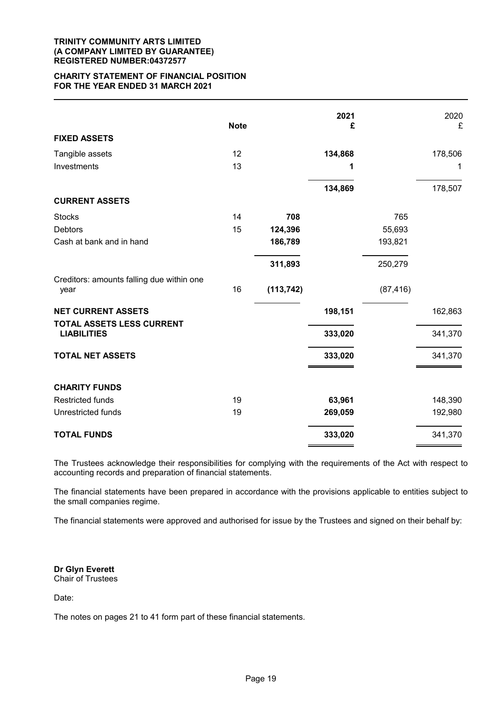#### **TRINITY COMMUNITY ARTS LIMITED (A COMPANY LIMITED BY GUARANTEE) REGISTERED NUMBER:04372577**

### **CHARITY STATEMENT OF FINANCIAL POSITION FOR THE YEAR ENDED 31 MARCH 2021**

|                                                   | <b>Note</b> |            | 2021<br>£ |           | 2020<br>£ |
|---------------------------------------------------|-------------|------------|-----------|-----------|-----------|
| <b>FIXED ASSETS</b>                               |             |            |           |           |           |
| Tangible assets                                   | 12          |            | 134,868   |           | 178,506   |
| Investments                                       | 13          |            | 1         |           | 1         |
|                                                   |             |            | 134,869   |           | 178,507   |
| <b>CURRENT ASSETS</b>                             |             |            |           |           |           |
| <b>Stocks</b>                                     | 14          | 708        |           | 765       |           |
| <b>Debtors</b>                                    | 15          | 124,396    |           | 55,693    |           |
| Cash at bank and in hand                          |             | 186,789    |           | 193,821   |           |
|                                                   |             | 311,893    |           | 250,279   |           |
| Creditors: amounts falling due within one<br>year | 16          | (113, 742) |           | (87, 416) |           |
| <b>NET CURRENT ASSETS</b>                         |             |            | 198,151   |           | 162,863   |
| TOTAL ASSETS LESS CURRENT<br><b>LIABILITIES</b>   |             |            | 333,020   |           | 341,370   |
| <b>TOTAL NET ASSETS</b>                           |             |            | 333,020   |           | 341,370   |
| <b>CHARITY FUNDS</b>                              |             |            |           |           |           |
| <b>Restricted funds</b>                           | 19          |            | 63,961    |           | 148,390   |
| Unrestricted funds                                | 19          |            | 269,059   |           | 192,980   |
| <b>TOTAL FUNDS</b>                                |             |            | 333,020   |           | 341,370   |

The Trustees acknowledge their responsibilities for complying with the requirements of the Act with respect to accounting records and preparation of financial statements.

The financial statements have been prepared in accordance with the provisions applicable to entities subject to the small companies regime.

The financial statements were approved and authorised for issue by the Trustees and signed on their behalf by:

**Dr Glyn Everett** Chair of Trustees

Date:

The notes on pages 21 to 41 form part of these financial statements.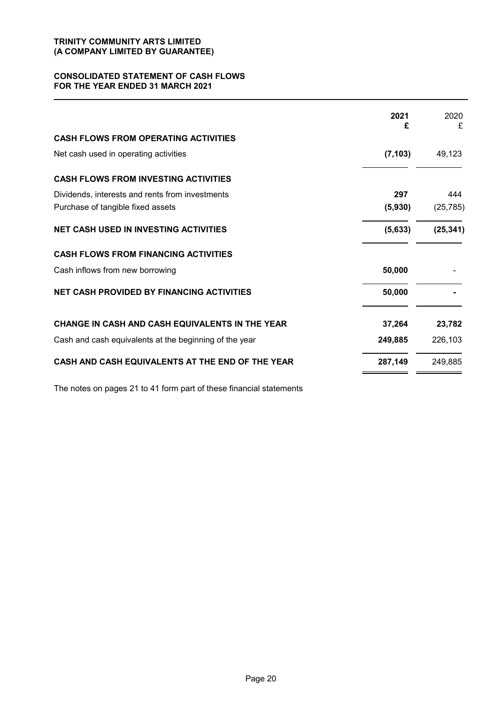### **CONSOLIDATED STATEMENT OF CASH FLOWS FOR THE YEAR ENDED 31 MARCH 2021**

|                                                        | 2021<br>£ | 2020<br>£ |
|--------------------------------------------------------|-----------|-----------|
| <b>CASH FLOWS FROM OPERATING ACTIVITIES</b>            |           |           |
| Net cash used in operating activities                  | (7, 103)  | 49,123    |
| <b>CASH FLOWS FROM INVESTING ACTIVITIES</b>            |           |           |
| Dividends, interests and rents from investments        | 297       | 444       |
| Purchase of tangible fixed assets                      | (5,930)   | (25, 785) |
| <b>NET CASH USED IN INVESTING ACTIVITIES</b>           | (5,633)   | (25, 341) |
| <b>CASH FLOWS FROM FINANCING ACTIVITIES</b>            |           |           |
| Cash inflows from new borrowing                        | 50,000    |           |
| NET CASH PROVIDED BY FINANCING ACTIVITIES              | 50,000    |           |
| CHANGE IN CASH AND CASH EQUIVALENTS IN THE YEAR        | 37,264    | 23,782    |
| Cash and cash equivalents at the beginning of the year | 249,885   | 226,103   |
| CASH AND CASH EQUIVALENTS AT THE END OF THE YEAR       | 287,149   | 249,885   |

The notes on pages 21 to 41 form part of these financial statements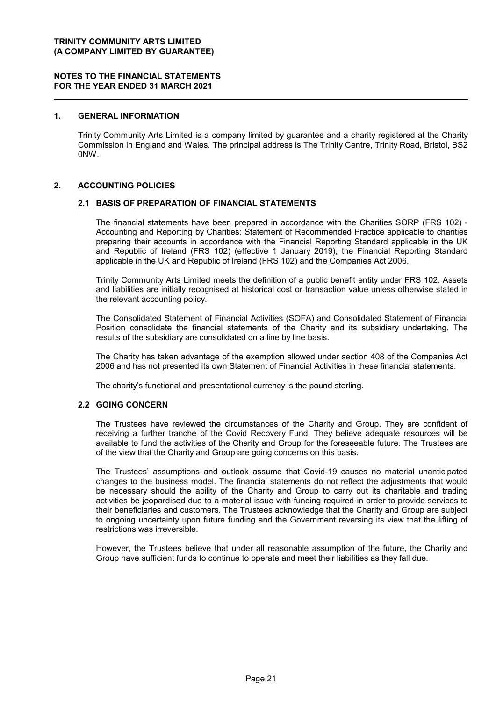### **1. GENERAL INFORMATION**

Trinity Community Arts Limited is a company limited by guarantee and a charity registered at the Charity Commission in England and Wales. The principal address is The Trinity Centre, Trinity Road, Bristol, BS2 0NW.

#### **2. ACCOUNTING POLICIES**

#### **2.1 BASIS OF PREPARATION OF FINANCIAL STATEMENTS**

The financial statements have been prepared in accordance with the Charities SORP (FRS 102) - Accounting and Reporting by Charities: Statement of Recommended Practice applicable to charities preparing their accounts in accordance with the Financial Reporting Standard applicable in the UK and Republic of Ireland (FRS 102) (effective 1 January 2019), the Financial Reporting Standard applicable in the UK and Republic of Ireland (FRS 102) and the Companies Act 2006.

Trinity Community Arts Limited meets the definition of a public benefit entity under FRS 102. Assets and liabilities are initially recognised at historical cost or transaction value unless otherwise stated in the relevant accounting policy.

The Consolidated Statement of Financial Activities (SOFA) and Consolidated Statement of Financial Position consolidate the financial statements of the Charity and its subsidiary undertaking. The results of the subsidiary are consolidated on a line by line basis.

The Charity has taken advantage of the exemption allowed under section 408 of the Companies Act 2006 and has not presented its own Statement of Financial Activities in these financial statements.

The charity's functional and presentational currency is the pound sterling.

### **2.2 GOING CONCERN**

The Trustees have reviewed the circumstances of the Charity and Group. They are confident of receiving a further tranche of the Covid Recovery Fund. They believe adequate resources will be available to fund the activities of the Charity and Group for the foreseeable future. The Trustees are of the view that the Charity and Group are going concerns on this basis.

The Trustees' assumptions and outlook assume that Covid-19 causes no material unanticipated changes to the business model. The financial statements do not reflect the adjustments that would be necessary should the ability of the Charity and Group to carry out its charitable and trading activities be jeopardised due to a material issue with funding required in order to provide services to their beneficiaries and customers. The Trustees acknowledge that the Charity and Group are subject to ongoing uncertainty upon future funding and the Government reversing its view that the lifting of restrictions was irreversible.

However, the Trustees believe that under all reasonable assumption of the future, the Charity and Group have sufficient funds to continue to operate and meet their liabilities as they fall due.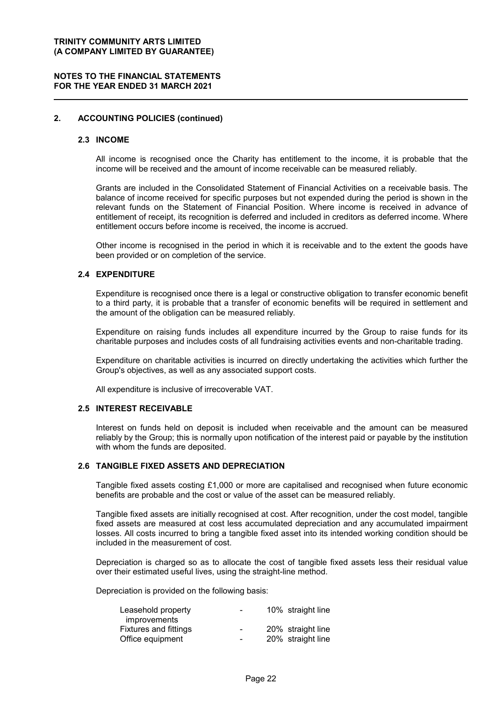### **NOTES TO THE FINANCIAL STATEMENTS FOR THE YEAR ENDED 31 MARCH 2021**

### **2. ACCOUNTING POLICIES (continued)**

#### **2.3 INCOME**

All income is recognised once the Charity has entitlement to the income, it is probable that the income will be received and the amount of income receivable can be measured reliably.

Grants are included in the Consolidated Statement of Financial Activities on a receivable basis. The balance of income received for specific purposes but not expended during the period is shown in the relevant funds on the Statement of Financial Position. Where income is received in advance of entitlement of receipt, its recognition is deferred and included in creditors as deferred income. Where entitlement occurs before income is received, the income is accrued.

Other income is recognised in the period in which it is receivable and to the extent the goods have been provided or on completion of the service.

#### **2.4 EXPENDITURE**

Expenditure is recognised once there is a legal or constructive obligation to transfer economic benefit to a third party, it is probable that a transfer of economic benefits will be required in settlement and the amount of the obligation can be measured reliably.

Expenditure on raising funds includes all expenditure incurred by the Group to raise funds for its charitable purposes and includes costs of all fundraising activities events and non-charitable trading.

Expenditure on charitable activities is incurred on directly undertaking the activities which further the Group's objectives, as well as any associated support costs.

All expenditure is inclusive of irrecoverable VAT.

#### **2.5 INTEREST RECEIVABLE**

Interest on funds held on deposit is included when receivable and the amount can be measured reliably by the Group; this is normally upon notification of the interest paid or payable by the institution with whom the funds are deposited.

### **2.6 TANGIBLE FIXED ASSETS AND DEPRECIATION**

Tangible fixed assets costing £1,000 or more are capitalised and recognised when future economic benefits are probable and the cost or value of the asset can be measured reliably.

Tangible fixed assets are initially recognised at cost. After recognition, under the cost model, tangible fixed assets are measured at cost less accumulated depreciation and any accumulated impairment losses. All costs incurred to bring a tangible fixed asset into its intended working condition should be included in the measurement of cost.

Depreciation is charged so as to allocate the cost of tangible fixed assets less their residual value over their estimated useful lives, using the straight-line method.

Depreciation is provided on the following basis:

| $\blacksquare$           | 10% straight line |
|--------------------------|-------------------|
|                          |                   |
| $\overline{\phantom{0}}$ | 20% straight line |
| $\blacksquare$           | 20% straight line |
|                          |                   |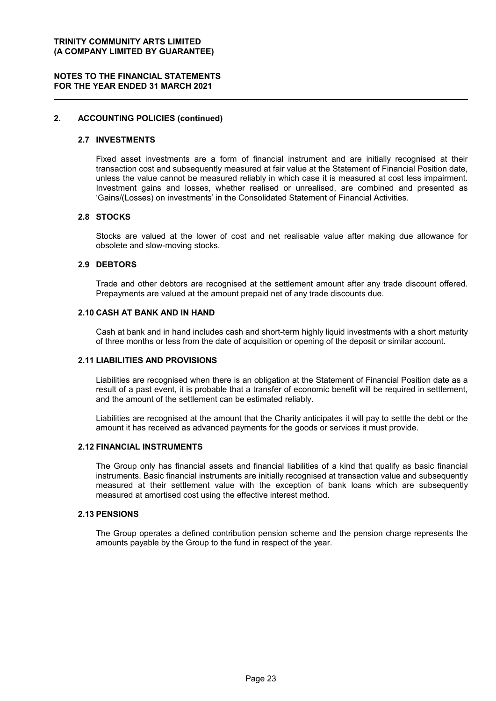### **NOTES TO THE FINANCIAL STATEMENTS FOR THE YEAR ENDED 31 MARCH 2021**

### **2. ACCOUNTING POLICIES (continued)**

#### **2.7 INVESTMENTS**

Fixed asset investments are a form of financial instrument and are initially recognised at their transaction cost and subsequently measured at fair value at the Statement of Financial Position date, unless the value cannot be measured reliably in which case it is measured at cost less impairment. Investment gains and losses, whether realised or unrealised, are combined and presented as 'Gains/(Losses) on investments' in the Consolidated Statement of Financial Activities.

### **2.8 STOCKS**

Stocks are valued at the lower of cost and net realisable value after making due allowance for obsolete and slow-moving stocks.

### **2.9 DEBTORS**

Trade and other debtors are recognised at the settlement amount after any trade discount offered. Prepayments are valued at the amount prepaid net of any trade discounts due.

#### **2.10 CASH AT BANK AND IN HAND**

Cash at bank and in hand includes cash and short-term highly liquid investments with a short maturity of three months or less from the date of acquisition or opening of the deposit or similar account.

### **2.11 LIABILITIES AND PROVISIONS**

Liabilities are recognised when there is an obligation at the Statement of Financial Position date as a result of a past event, it is probable that a transfer of economic benefit will be required in settlement, and the amount of the settlement can be estimated reliably.

Liabilities are recognised at the amount that the Charity anticipates it will pay to settle the debt or the amount it has received as advanced payments for the goods or services it must provide.

#### **2.12 FINANCIAL INSTRUMENTS**

The Group only has financial assets and financial liabilities of a kind that qualify as basic financial instruments. Basic financial instruments are initially recognised at transaction value and subsequently measured at their settlement value with the exception of bank loans which are subsequently measured at amortised cost using the effective interest method.

#### **2.13 PENSIONS**

The Group operates a defined contribution pension scheme and the pension charge represents the amounts payable by the Group to the fund in respect of the year.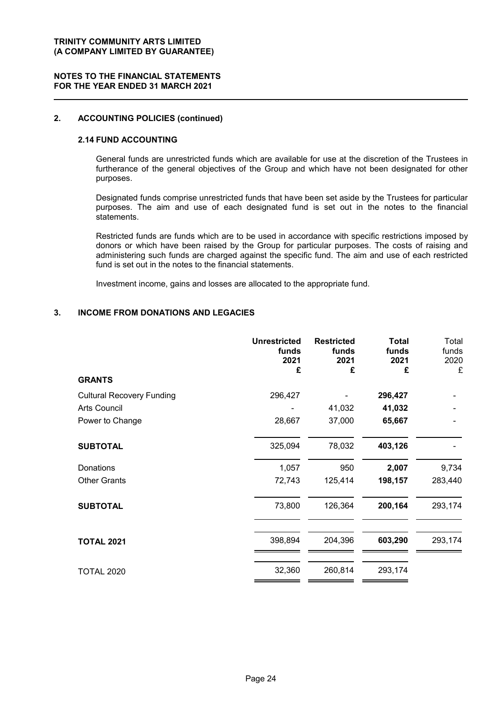### **NOTES TO THE FINANCIAL STATEMENTS FOR THE YEAR ENDED 31 MARCH 2021**

### **2. ACCOUNTING POLICIES (continued)**

### **2.14 FUND ACCOUNTING**

General funds are unrestricted funds which are available for use at the discretion of the Trustees in furtherance of the general objectives of the Group and which have not been designated for other purposes.

Designated funds comprise unrestricted funds that have been set aside by the Trustees for particular purposes. The aim and use of each designated fund is set out in the notes to the financial statements.

Restricted funds are funds which are to be used in accordance with specific restrictions imposed by donors or which have been raised by the Group for particular purposes. The costs of raising and administering such funds are charged against the specific fund. The aim and use of each restricted fund is set out in the notes to the financial statements.

Investment income, gains and losses are allocated to the appropriate fund.

### **3. INCOME FROM DONATIONS AND LEGACIES**

|                                  | <b>Unrestricted</b><br>funds<br>2021<br>£ | <b>Restricted</b><br>funds<br>2021<br>£ | <b>Total</b><br>funds<br>2021<br>£ | Total<br>funds<br>2020<br>£ |
|----------------------------------|-------------------------------------------|-----------------------------------------|------------------------------------|-----------------------------|
| <b>GRANTS</b>                    |                                           |                                         |                                    |                             |
| <b>Cultural Recovery Funding</b> | 296,427                                   |                                         | 296,427                            |                             |
| Arts Council                     |                                           | 41,032                                  | 41,032                             |                             |
| Power to Change                  | 28,667                                    | 37,000                                  | 65,667                             |                             |
| <b>SUBTOTAL</b>                  | 325,094                                   | 78,032                                  | 403,126                            |                             |
| Donations                        | 1,057                                     | 950                                     | 2,007                              | 9,734                       |
| <b>Other Grants</b>              | 72,743                                    | 125,414                                 | 198,157                            | 283,440                     |
| <b>SUBTOTAL</b>                  | 73,800                                    | 126,364                                 | 200,164                            | 293,174                     |
| <b>TOTAL 2021</b>                | 398,894                                   | 204,396                                 | 603,290                            | 293,174                     |
| <b>TOTAL 2020</b>                | 32,360                                    | 260,814                                 | 293,174                            |                             |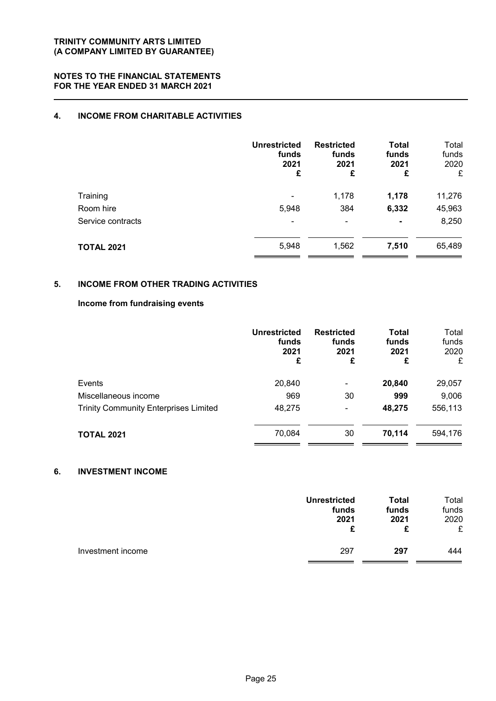## **4. INCOME FROM CHARITABLE ACTIVITIES**

|                   | <b>Unrestricted</b><br>funds<br>2021<br>£ | <b>Restricted</b><br>funds<br>2021<br>£ | <b>Total</b><br>funds<br>2021<br>£ | Total<br>funds<br>2020<br>£ |
|-------------------|-------------------------------------------|-----------------------------------------|------------------------------------|-----------------------------|
| Training          |                                           | 1,178                                   | 1,178                              | 11,276                      |
| Room hire         | 5,948                                     | 384                                     | 6,332                              | 45,963                      |
| Service contracts | $\overline{\phantom{0}}$                  | ۰                                       | $\blacksquare$                     | 8,250                       |
| <b>TOTAL 2021</b> | 5,948                                     | 1,562                                   | 7,510                              | 65,489                      |

### **5. INCOME FROM OTHER TRADING ACTIVITIES**

### **Income from fundraising events**

|                                              | <b>Unrestricted</b><br>funds<br>2021<br>£ | <b>Restricted</b><br>funds<br>2021<br>£ | <b>Total</b><br>funds<br>2021<br>£ | Total<br>funds<br>2020<br>£ |
|----------------------------------------------|-------------------------------------------|-----------------------------------------|------------------------------------|-----------------------------|
| Events                                       | 20,840                                    | ۰                                       | 20,840                             | 29,057                      |
| Miscellaneous income                         | 969                                       | 30                                      | 999                                | 9,006                       |
| <b>Trinity Community Enterprises Limited</b> | 48,275                                    | ۰                                       | 48,275                             | 556,113                     |
| <b>TOTAL 2021</b>                            | 70,084                                    | 30                                      | 70,114                             | 594,176                     |

### **6. INVESTMENT INCOME**

|                   | <b>Unrestricted</b> | <b>Total</b> | Total |
|-------------------|---------------------|--------------|-------|
|                   | funds               | funds        | funds |
|                   | 2021                | 2021         | 2020  |
|                   | £                   | £            | £     |
| Investment income | 297                 | 297          | 444   |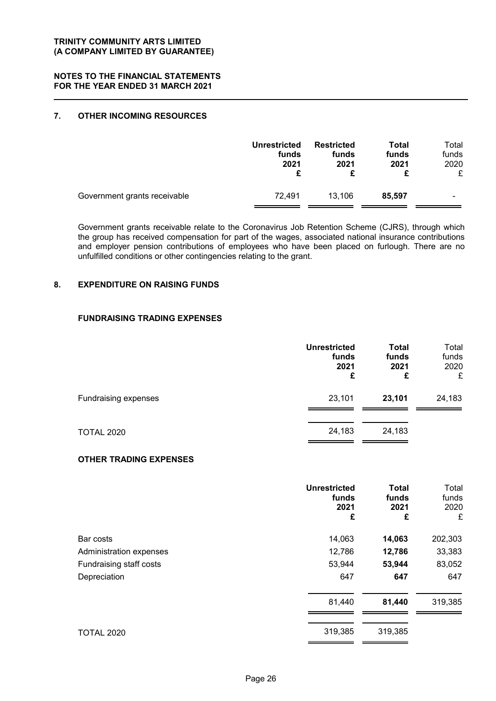### **NOTES TO THE FINANCIAL STATEMENTS FOR THE YEAR ENDED 31 MARCH 2021**

### **7. OTHER INCOMING RESOURCES**

|                              | <b>Unrestricted</b><br>funds<br>2021 | <b>Restricted</b><br>funds<br>2021 | Total<br>funds<br>2021 | Total<br>funds<br>2020<br>£ |
|------------------------------|--------------------------------------|------------------------------------|------------------------|-----------------------------|
| Government grants receivable | 72.491                               | 13,106                             | 85.597                 | $\blacksquare$              |

Government grants receivable relate to the Coronavirus Job Retention Scheme (CJRS), through which the group has received compensation for part of the wages, associated national insurance contributions and employer pension contributions of employees who have been placed on furlough. There are no unfulfilled conditions or other contingencies relating to the grant.

### **8. EXPENDITURE ON RAISING FUNDS**

### **FUNDRAISING TRADING EXPENSES**

|                      | <b>Unrestricted</b><br>funds<br>2021<br>£ | <b>Total</b><br>funds<br>2021<br>£ | Total<br>funds<br>2020<br>£ |
|----------------------|-------------------------------------------|------------------------------------|-----------------------------|
| Fundraising expenses | 23,101                                    | 23,101                             | 24,183                      |
| <b>TOTAL 2020</b>    | 24,183                                    | 24,183                             |                             |

### **OTHER TRADING EXPENSES**

|                         | <b>Unrestricted</b><br>funds<br>2021<br>£ | <b>Total</b><br>funds<br>2021<br>£ | Total<br>funds<br>2020<br>£ |
|-------------------------|-------------------------------------------|------------------------------------|-----------------------------|
| Bar costs               | 14,063                                    | 14,063                             | 202,303                     |
| Administration expenses | 12,786                                    | 12,786                             | 33,383                      |
| Fundraising staff costs | 53,944                                    | 53,944                             | 83,052                      |
| Depreciation            | 647                                       | 647                                | 647                         |
|                         | 81,440                                    | 81,440                             | 319,385                     |
| <b>TOTAL 2020</b>       | 319,385                                   | 319,385                            |                             |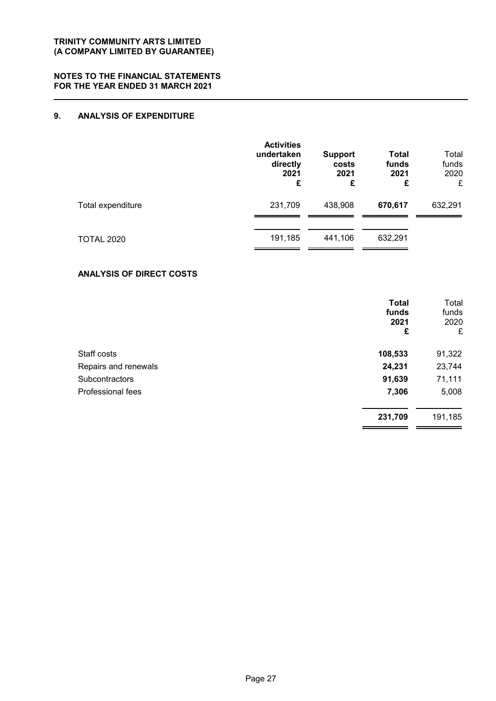### **9. ANALYSIS OF EXPENDITURE**

|                   | <b>Activities</b><br>undertaken<br>directly<br>2021<br>£ | <b>Support</b><br>costs<br>2021<br>£ | Total<br>funds<br>2021<br>£ | Total<br>funds<br>2020<br>£ |
|-------------------|----------------------------------------------------------|--------------------------------------|-----------------------------|-----------------------------|
| Total expenditure | 231,709                                                  | 438,908                              | 670,617                     | 632,291                     |
| <b>TOTAL 2020</b> | 191,185                                                  | 441,106                              | 632,291                     |                             |

### **ANALYSIS OF DIRECT COSTS**

|                       | <b>Total</b><br>funds<br>2021<br>£ | Total<br>funds<br>2020<br>£ |
|-----------------------|------------------------------------|-----------------------------|
| Staff costs           | 108,533                            | 91,322                      |
| Repairs and renewals  | 24,231                             | 23,744                      |
| <b>Subcontractors</b> | 91,639                             | 71,111                      |
| Professional fees     | 7,306                              | 5,008                       |
|                       | 231,709                            | 191,185                     |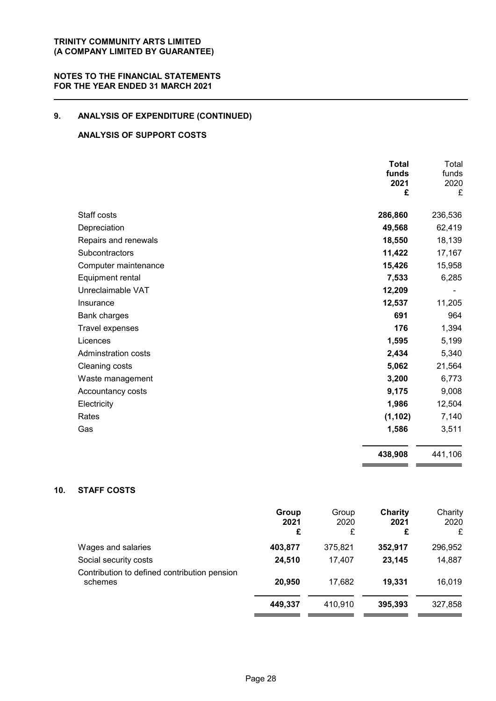### **NOTES TO THE FINANCIAL STATEMENTS FOR THE YEAR ENDED 31 MARCH 2021**

## **9. ANALYSIS OF EXPENDITURE (CONTINUED)**

### **ANALYSIS OF SUPPORT COSTS**

|                            | <b>Total</b><br>funds<br>2021<br>£ | Total<br>funds<br>2020<br>£ |
|----------------------------|------------------------------------|-----------------------------|
| Staff costs                | 286,860                            | 236,536                     |
| Depreciation               | 49,568                             | 62,419                      |
| Repairs and renewals       | 18,550                             | 18,139                      |
| Subcontractors             | 11,422                             | 17,167                      |
| Computer maintenance       | 15,426                             | 15,958                      |
| Equipment rental           | 7,533                              | 6,285                       |
| Unreclaimable VAT          | 12,209                             |                             |
| Insurance                  | 12,537                             | 11,205                      |
| Bank charges               | 691                                | 964                         |
| Travel expenses            | 176                                | 1,394                       |
| Licences                   | 1,595                              | 5,199                       |
| <b>Adminstration costs</b> | 2,434                              | 5,340                       |
| Cleaning costs             | 5,062                              | 21,564                      |
| Waste management           | 3,200                              | 6,773                       |
| Accountancy costs          | 9,175                              | 9,008                       |
| Electricity                | 1,986                              | 12,504                      |
| Rates                      | (1, 102)                           | 7,140                       |
| Gas                        | 1,586                              | 3,511                       |
|                            | 438,908                            | 441,106                     |

### **10. STAFF COSTS**

|                                                         | Group<br>2021<br>£ | Group<br>2020<br>£ | Charity<br>2021<br>£ | Charity<br>2020<br>£ |
|---------------------------------------------------------|--------------------|--------------------|----------------------|----------------------|
| Wages and salaries                                      | 403,877            | 375,821            | 352,917              | 296,952              |
| Social security costs                                   | 24,510             | 17.407             | 23,145               | 14,887               |
| Contribution to defined contribution pension<br>schemes | 20,950             | 17,682             | 19.331               | 16,019               |
|                                                         | 449,337            | 410,910            | 395,393              | 327,858              |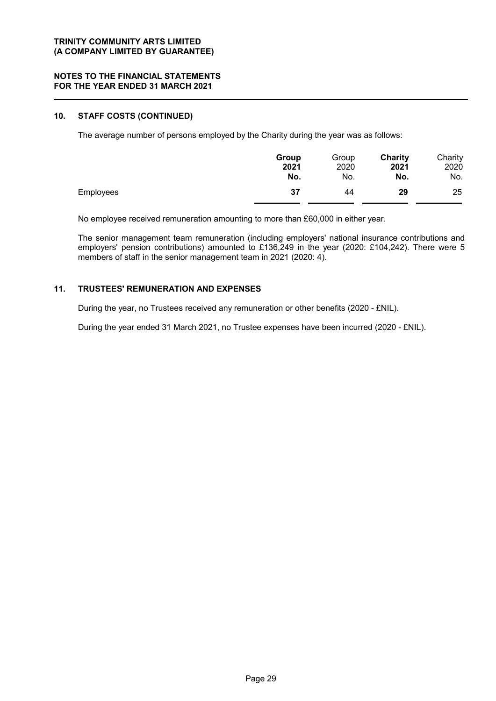### **NOTES TO THE FINANCIAL STATEMENTS FOR THE YEAR ENDED 31 MARCH 2021**

### **10. STAFF COSTS (CONTINUED)**

The average number of persons employed by the Charity during the year was as follows:

|                  | Group | Group | Charity | Charity |
|------------------|-------|-------|---------|---------|
|                  | 2021  | 2020  | 2021    | 2020    |
|                  | No.   | No.   | No.     | No.     |
| <b>Employees</b> | 37    | 44    | 29      | 25      |

No employee received remuneration amounting to more than £60,000 in either year.

The senior management team remuneration (including employers' national insurance contributions and employers' pension contributions) amounted to £136,249 in the year (2020: £104,242). There were 5 members of staff in the senior management team in 2021 (2020: 4).

### **11. TRUSTEES' REMUNERATION AND EXPENSES**

During the year, no Trustees received any remuneration or other benefits (2020 - £NIL).

During the year ended 31 March 2021, no Trustee expenses have been incurred (2020 - £NIL).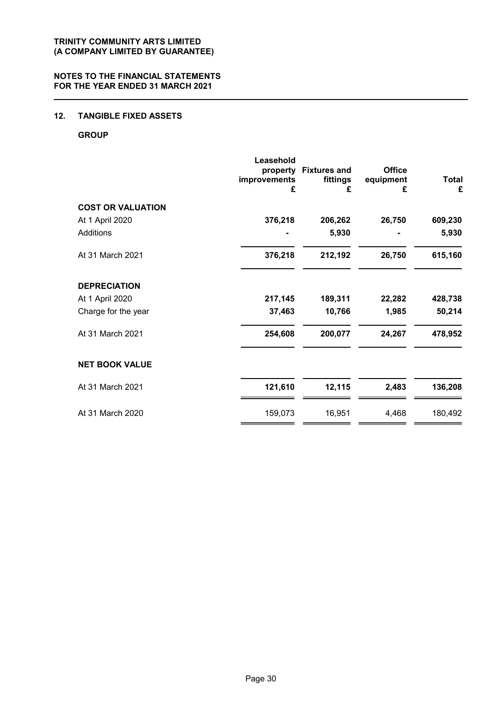### **12. TANGIBLE FIXED ASSETS**

### **GROUP**

|                          | Leasehold<br>property<br>improvements<br>£ | <b>Fixtures and</b><br>fittings<br>£ | <b>Office</b><br>equipment<br>£ | <b>Total</b><br>£ |
|--------------------------|--------------------------------------------|--------------------------------------|---------------------------------|-------------------|
| <b>COST OR VALUATION</b> |                                            |                                      |                                 |                   |
| At 1 April 2020          | 376,218                                    | 206,262                              | 26,750                          | 609,230           |
| <b>Additions</b>         |                                            | 5,930                                |                                 | 5,930             |
| At 31 March 2021         | 376,218                                    | 212,192                              | 26,750                          | 615,160           |
| <b>DEPRECIATION</b>      |                                            |                                      |                                 |                   |
| At 1 April 2020          | 217,145                                    | 189,311                              | 22,282                          | 428,738           |
| Charge for the year      | 37,463                                     | 10,766                               | 1,985                           | 50,214            |
| At 31 March 2021         | 254,608                                    | 200,077                              | 24,267                          | 478,952           |
| <b>NET BOOK VALUE</b>    |                                            |                                      |                                 |                   |
| At 31 March 2021         | 121,610                                    | 12,115                               | 2,483                           | 136,208           |
| At 31 March 2020         | 159,073                                    | 16,951                               | 4,468                           | 180,492           |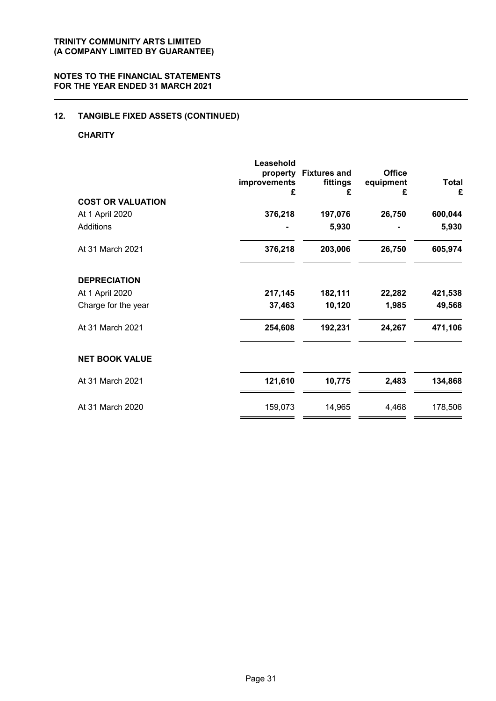## **12. TANGIBLE FIXED ASSETS (CONTINUED)**

### **CHARITY**

| <b>COST OR VALUATION</b> | Leasehold<br>property<br>improvements<br>£ | <b>Fixtures and</b><br>fittings<br>£ | <b>Office</b><br>equipment<br>£ | <b>Total</b><br>£ |
|--------------------------|--------------------------------------------|--------------------------------------|---------------------------------|-------------------|
| At 1 April 2020          | 376,218                                    | 197,076                              | 26,750                          | 600,044           |
| <b>Additions</b>         |                                            | 5,930                                |                                 | 5,930             |
| At 31 March 2021         | 376,218                                    | 203,006                              | 26,750                          | 605,974           |
| <b>DEPRECIATION</b>      |                                            |                                      |                                 |                   |
| At 1 April 2020          | 217,145                                    | 182,111                              | 22,282                          | 421,538           |
| Charge for the year      | 37,463                                     | 10,120                               | 1,985                           | 49,568            |
| At 31 March 2021         | 254,608                                    | 192,231                              | 24,267                          | 471,106           |
| <b>NET BOOK VALUE</b>    |                                            |                                      |                                 |                   |
| At 31 March 2021         | 121,610                                    | 10,775                               | 2,483                           | 134,868           |
| At 31 March 2020         | 159,073                                    | 14,965                               | 4,468                           | 178,506           |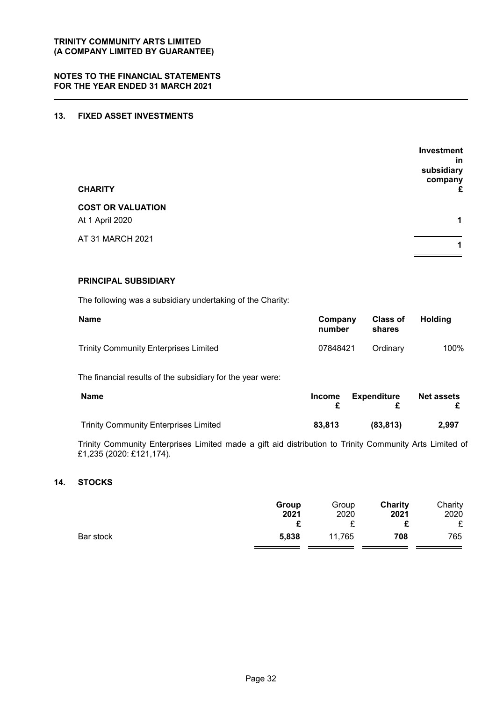### **13. FIXED ASSET INVESTMENTS**

| <b>CHARITY</b>                              | Investment<br>in<br>subsidiary<br>company<br>£ |
|---------------------------------------------|------------------------------------------------|
| <b>COST OR VALUATION</b><br>At 1 April 2020 | 1                                              |
| AT 31 MARCH 2021                            | 1                                              |

### **PRINCIPAL SUBSIDIARY**

The following was a subsidiary undertaking of the Charity:

| <b>Name</b>                                  | Company<br>number | <b>Class of</b><br>shares | Holdina |
|----------------------------------------------|-------------------|---------------------------|---------|
| <b>Trinity Community Enterprises Limited</b> | 07848421          | Ordinary                  | 100%    |

The financial results of the subsidiary for the year were:

| Name                                         | <b>Income</b> | Expenditure | <b>Net assets</b> |
|----------------------------------------------|---------------|-------------|-------------------|
| <b>Trinity Community Enterprises Limited</b> | 83.813        | (83.813)    | 2.997             |

Trinity Community Enterprises Limited made a gift aid distribution to Trinity Community Arts Limited of £1,235 (2020: £121,174).

### **14. STOCKS**

|           | Group<br>2021 | Group<br>2020 | Charity<br>2021 | Charity<br>2020<br>£ |
|-----------|---------------|---------------|-----------------|----------------------|
| Bar stock | 5,838         | 11,765        | 708             | 765                  |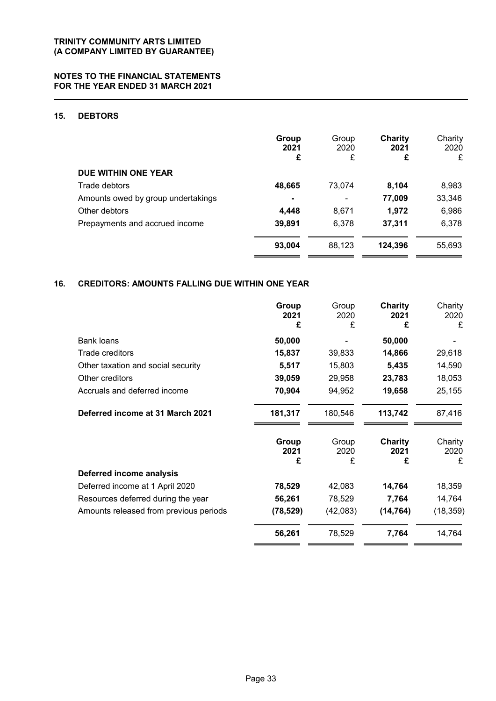### **15. DEBTORS**

|                                    | Group<br>2021<br>£ | Group<br>2020<br>£ | Charity<br>2021<br>£ | Charity<br>2020<br>£ |
|------------------------------------|--------------------|--------------------|----------------------|----------------------|
| DUE WITHIN ONE YEAR                |                    |                    |                      |                      |
| Trade debtors                      | 48,665             | 73,074             | 8,104                | 8,983                |
| Amounts owed by group undertakings | ۰                  | -                  | 77,009               | 33,346               |
| Other debtors                      | 4,448              | 8,671              | 1,972                | 6,986                |
| Prepayments and accrued income     | 39,891             | 6,378              | 37,311               | 6,378                |
|                                    | 93,004             | 88,123             | 124,396              | 55,693               |

### **16. CREDITORS: AMOUNTS FALLING DUE WITHIN ONE YEAR**

|                                        | Group<br>2021<br>£ | Group<br>2020<br>£ | <b>Charity</b><br>2021<br>£ | Charity<br>2020<br>£ |
|----------------------------------------|--------------------|--------------------|-----------------------------|----------------------|
| <b>Bank loans</b>                      | 50,000             |                    | 50,000                      |                      |
| Trade creditors                        | 15,837             | 39,833             | 14,866                      | 29,618               |
| Other taxation and social security     | 5,517              | 15,803             | 5,435                       | 14,590               |
| Other creditors                        | 39,059             | 29,958             | 23,783                      | 18,053               |
| Accruals and deferred income           | 70,904             | 94,952             | 19,658                      | 25,155               |
| Deferred income at 31 March 2021       | 181,317            | 180,546            | 113,742                     | 87,416               |
|                                        | Group<br>2021      | Group<br>2020      | Charity<br>2021             | Charity<br>2020      |
|                                        | £                  | £                  | £                           | £                    |
| Deferred income analysis               |                    |                    |                             |                      |
| Deferred income at 1 April 2020        | 78,529             | 42,083             | 14,764                      | 18,359               |
| Resources deferred during the year     | 56,261             | 78,529             | 7,764                       | 14,764               |
| Amounts released from previous periods | (78, 529)          | (42,083)           | (14, 764)                   | (18, 359)            |
|                                        | 56,261             | 78,529             | 7,764                       | 14,764               |

- -

 $\hspace{0.1cm}$   $\hspace{0.1cm}$   $\hspace{0.1cm}$   $\hspace{0.1cm}$   $\hspace{0.1cm}$   $\hspace{0.1cm}$   $\hspace{0.1cm}$   $\hspace{0.1cm}$   $\hspace{0.1cm}$   $\hspace{0.1cm}$   $\hspace{0.1cm}$   $\hspace{0.1cm}$   $\hspace{0.1cm}$   $\hspace{0.1cm}$   $\hspace{0.1cm}$   $\hspace{0.1cm}$   $\hspace{0.1cm}$   $\hspace{0.1cm}$   $\hspace{$ 

 $=$   $=$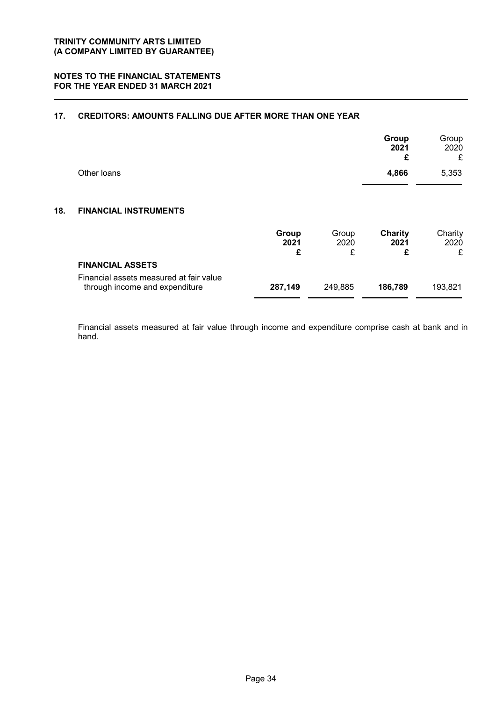### **17. CREDITORS: AMOUNTS FALLING DUE AFTER MORE THAN ONE YEAR**

|     |                                                                           |                    |                    | Group<br>2021<br>£          | Group<br>2020<br>£   |
|-----|---------------------------------------------------------------------------|--------------------|--------------------|-----------------------------|----------------------|
|     | Other loans                                                               |                    |                    | 4,866                       | 5,353                |
| 18. | <b>FINANCIAL INSTRUMENTS</b>                                              |                    |                    |                             |                      |
|     |                                                                           | Group<br>2021<br>£ | Group<br>2020<br>£ | <b>Charity</b><br>2021<br>£ | Charity<br>2020<br>£ |
|     | <b>FINANCIAL ASSETS</b>                                                   |                    |                    |                             |                      |
|     | Financial assets measured at fair value<br>through income and expenditure | 287,149            | 249,885            | 186,789                     | 193,821              |

Financial assets measured at fair value through income and expenditure comprise cash at bank and in hand.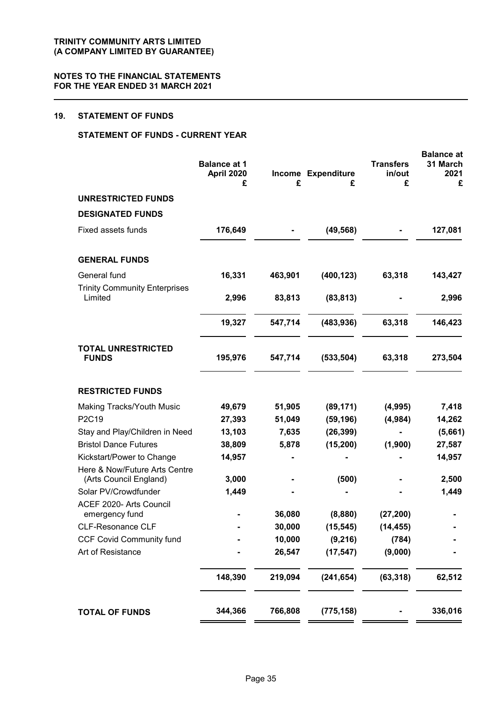### **19. STATEMENT OF FUNDS**

### **STATEMENT OF FUNDS - CURRENT YEAR**

|                                                         | <b>Balance at 1</b><br>April 2020<br>£ | £       | Income Expenditure<br>£ | <b>Transfers</b><br>in/out<br>£ | <b>Balance</b> at<br>31 March<br>2021<br>£ |
|---------------------------------------------------------|----------------------------------------|---------|-------------------------|---------------------------------|--------------------------------------------|
| <b>UNRESTRICTED FUNDS</b>                               |                                        |         |                         |                                 |                                            |
| <b>DESIGNATED FUNDS</b>                                 |                                        |         |                         |                                 |                                            |
| Fixed assets funds                                      | 176,649                                |         | (49, 568)               |                                 | 127,081                                    |
| <b>GENERAL FUNDS</b>                                    |                                        |         |                         |                                 |                                            |
| General fund                                            | 16,331                                 | 463,901 | (400, 123)              | 63,318                          | 143,427                                    |
| <b>Trinity Community Enterprises</b><br>Limited         | 2,996                                  | 83,813  | (83, 813)               |                                 | 2,996                                      |
|                                                         | 19,327                                 | 547,714 | (483, 936)              | 63,318                          | 146,423                                    |
| <b>TOTAL UNRESTRICTED</b><br><b>FUNDS</b>               | 195,976                                | 547,714 | (533, 504)              | 63,318                          | 273,504                                    |
| <b>RESTRICTED FUNDS</b>                                 |                                        |         |                         |                                 |                                            |
| Making Tracks/Youth Music                               | 49,679                                 | 51,905  | (89, 171)               | (4,995)                         | 7,418                                      |
| P2C19                                                   | 27,393                                 | 51,049  | (59, 196)               | (4,984)                         | 14,262                                     |
| Stay and Play/Children in Need                          | 13,103                                 | 7,635   | (26, 399)               |                                 | (5,661)                                    |
| <b>Bristol Dance Futures</b>                            | 38,809                                 | 5,878   | (15, 200)               | (1,900)                         | 27,587                                     |
| Kickstart/Power to Change                               | 14,957                                 |         |                         |                                 | 14,957                                     |
| Here & Now/Future Arts Centre<br>(Arts Council England) | 3,000                                  |         | (500)                   |                                 | 2,500                                      |
| Solar PV/Crowdfunder                                    | 1,449                                  |         |                         |                                 | 1,449                                      |
| ACEF 2020- Arts Council<br>emergency fund               |                                        | 36,080  | (8,880)                 | (27, 200)                       |                                            |
| <b>CLF-Resonance CLF</b>                                |                                        | 30,000  | (15, 545)               | (14, 455)                       |                                            |
| <b>CCF Covid Community fund</b>                         |                                        | 10,000  | (9, 216)                | (784)                           |                                            |
| Art of Resistance                                       |                                        | 26,547  | (17, 547)               | (9,000)                         |                                            |
|                                                         | 148,390                                | 219,094 | (241, 654)              | (63, 318)                       | 62,512                                     |
| <b>TOTAL OF FUNDS</b>                                   | 344,366                                | 766,808 | (775, 158)              |                                 | 336,016                                    |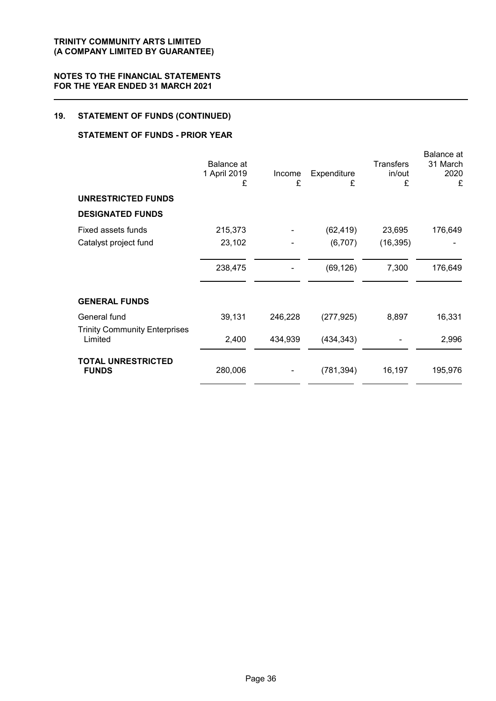## **19. STATEMENT OF FUNDS (CONTINUED)**

### **STATEMENT OF FUNDS - PRIOR YEAR**

|                                                 | <b>Balance</b> at<br>1 April 2019<br>£ | Income<br>£ | Expenditure<br>£ | <b>Transfers</b><br>in/out<br>£ | <b>Balance</b> at<br>31 March<br>2020<br>£ |
|-------------------------------------------------|----------------------------------------|-------------|------------------|---------------------------------|--------------------------------------------|
| UNRESTRICTED FUNDS                              |                                        |             |                  |                                 |                                            |
| <b>DESIGNATED FUNDS</b>                         |                                        |             |                  |                                 |                                            |
| Fixed assets funds                              | 215,373                                |             | (62, 419)        | 23,695                          | 176,649                                    |
| Catalyst project fund                           | 23,102                                 |             | (6,707)          | (16, 395)                       |                                            |
|                                                 | 238,475                                |             | (69, 126)        | 7,300                           | 176,649                                    |
| <b>GENERAL FUNDS</b>                            |                                        |             |                  |                                 |                                            |
| General fund                                    | 39,131                                 | 246,228     | (277, 925)       | 8,897                           | 16,331                                     |
| <b>Trinity Community Enterprises</b><br>Limited | 2,400                                  | 434,939     | (434, 343)       |                                 | 2,996                                      |
| <b>TOTAL UNRESTRICTED</b><br><b>FUNDS</b>       | 280,006                                |             | (781, 394)       | 16,197                          | 195,976                                    |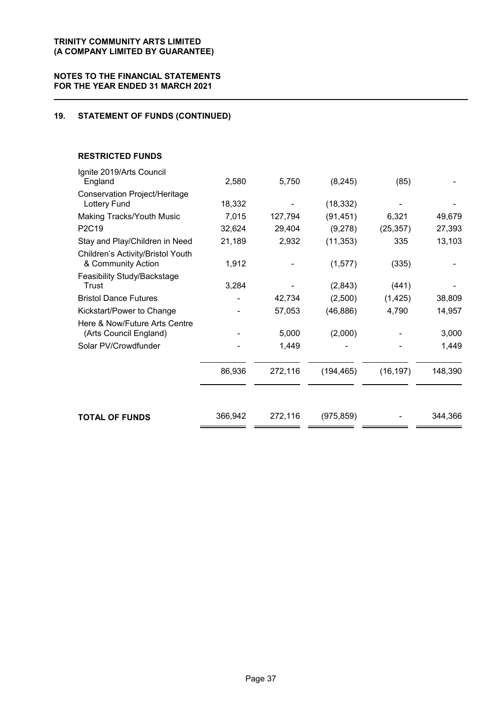### **NOTES TO THE FINANCIAL STATEMENTS FOR THE YEAR ENDED 31 MARCH 2021**

### **19. STATEMENT OF FUNDS (CONTINUED)**

### **RESTRICTED FUNDS**

| <b>TOTAL OF FUNDS</b>                                   | 366,942 | 272,116 | (975, 859) |           | 344,366 |
|---------------------------------------------------------|---------|---------|------------|-----------|---------|
|                                                         | 86,936  | 272,116 | (194, 465) | (16, 197) | 148,390 |
| Solar PV/Crowdfunder                                    |         | 1,449   |            |           | 1,449   |
| Here & Now/Future Arts Centre<br>(Arts Council England) |         | 5,000   | (2,000)    |           | 3,000   |
| Kickstart/Power to Change                               |         | 57,053  | (46, 886)  | 4,790     | 14,957  |
| <b>Bristol Dance Futures</b>                            |         | 42,734  | (2,500)    | (1, 425)  | 38,809  |
| Feasibility Study/Backstage<br>Trust                    | 3,284   |         | (2,843)    | (441)     |         |
| Children's Activity/Bristol Youth<br>& Community Action | 1,912   |         | (1,577)    | (335)     |         |
| Stay and Play/Children in Need                          | 21,189  | 2,932   | (11, 353)  | 335       | 13,103  |
| P2C19                                                   | 32,624  | 29,404  | (9,278)    | (25, 357) | 27,393  |
| Making Tracks/Youth Music                               | 7,015   | 127,794 | (91, 451)  | 6,321     | 49,679  |
| Conservation Project/Heritage<br><b>Lottery Fund</b>    | 18,332  |         | (18, 332)  |           |         |
| Ignite 2019/Arts Council<br>England                     | 2,580   | 5,750   | (8, 245)   | (85)      |         |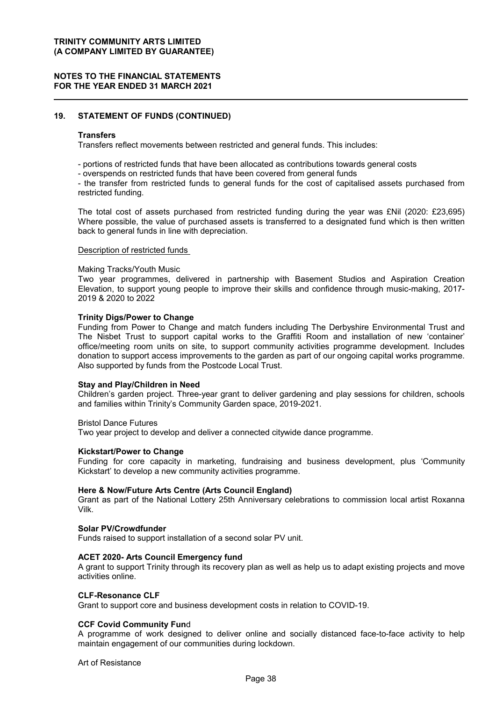### **NOTES TO THE FINANCIAL STATEMENTS FOR THE YEAR ENDED 31 MARCH 2021**

### **19. STATEMENT OF FUNDS (CONTINUED)**

#### **Transfers**

Transfers reflect movements between restricted and general funds. This includes:

- portions of restricted funds that have been allocated as contributions towards general costs
- overspends on restricted funds that have been covered from general funds

- the transfer from restricted funds to general funds for the cost of capitalised assets purchased from restricted funding.

The total cost of assets purchased from restricted funding during the year was £Nil (2020: £23,695) Where possible, the value of purchased assets is transferred to a designated fund which is then written back to general funds in line with depreciation.

#### Description of restricted funds

#### Making Tracks/Youth Music

Two year programmes, delivered in partnership with Basement Studios and Aspiration Creation Elevation, to support young people to improve their skills and confidence through music-making, 2017- 2019 & 2020 to 2022

#### **Trinity Digs/Power to Change**

Funding from Power to Change and match funders including The Derbyshire Environmental Trust and The Nisbet Trust to support capital works to the Graffiti Room and installation of new 'container' office/meeting room units on site, to support community activities programme development. Includes donation to support access improvements to the garden as part of our ongoing capital works programme. Also supported by funds from the Postcode Local Trust.

#### **Stay and Play/Children in Need**

Children's garden project. Three-year grant to deliver gardening and play sessions for children, schools and families within Trinity's Community Garden space, 2019-2021.

Bristol Dance Futures

Two year project to develop and deliver a connected citywide dance programme.

#### **Kickstart/Power to Change**

Funding for core capacity in marketing, fundraising and business development, plus 'Community Kickstart' to develop a new community activities programme.

#### **Here & Now/Future Arts Centre (Arts Council England)**

Grant as part of the National Lottery 25th Anniversary celebrations to commission local artist Roxanna Vilk.

#### **Solar PV/Crowdfunder**

Funds raised to support installation of a second solar PV unit.

#### **ACET 2020- Arts Council Emergency fund**

A grant to support Trinity through its recovery plan as well as help us to adapt existing projects and move activities online.

#### **CLF-Resonance CLF**

Grant to support core and business development costs in relation to COVID-19.

#### **CCF Covid Community Fun**d

A programme of work designed to deliver online and socially distanced face-to-face activity to help maintain engagement of our communities during lockdown.

#### Art of Resistance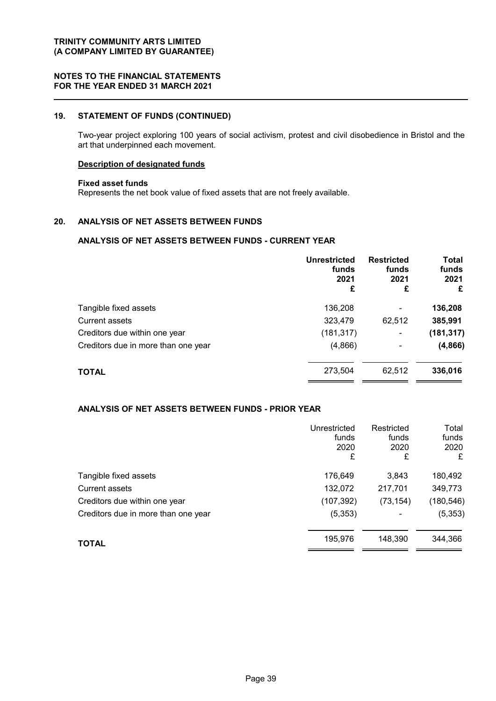### **19. STATEMENT OF FUNDS (CONTINUED)**

Two-year project exploring 100 years of social activism, protest and civil disobedience in Bristol and the art that underpinned each movement.

#### **Description of designated funds**

#### **Fixed asset funds**

Represents the net book value of fixed assets that are not freely available.

### **20. ANALYSIS OF NET ASSETS BETWEEN FUNDS**

#### **ANALYSIS OF NET ASSETS BETWEEN FUNDS - CURRENT YEAR**

|                                     | Unrestricted<br>funds<br>2021<br>£ | <b>Restricted</b><br>funds<br>2021<br>£ | Total<br>funds<br>2021<br>£ |
|-------------------------------------|------------------------------------|-----------------------------------------|-----------------------------|
| Tangible fixed assets               | 136,208                            | -                                       | 136,208                     |
| <b>Current assets</b>               | 323,479                            | 62,512                                  | 385,991                     |
| Creditors due within one year       | (181, 317)                         | $\blacksquare$                          | (181, 317)                  |
| Creditors due in more than one year | (4,866)                            | -                                       | (4, 866)                    |
| <b>TOTAL</b>                        | 273,504                            | 62,512                                  | 336,016                     |

### **ANALYSIS OF NET ASSETS BETWEEN FUNDS - PRIOR YEAR**

|                                     | Unrestricted<br>funds<br>2020<br>£ | Restricted<br>funds<br>2020<br>£ | Total<br>funds<br>2020<br>£ |
|-------------------------------------|------------------------------------|----------------------------------|-----------------------------|
| Tangible fixed assets               | 176,649                            | 3,843                            | 180,492                     |
| <b>Current assets</b>               | 132,072                            | 217,701                          | 349,773                     |
| Creditors due within one year       | (107, 392)                         | (73, 154)                        | (180, 546)                  |
| Creditors due in more than one year | (5, 353)                           |                                  | (5, 353)                    |
| <b>TOTAL</b>                        | 195,976                            | 148,390                          | 344,366                     |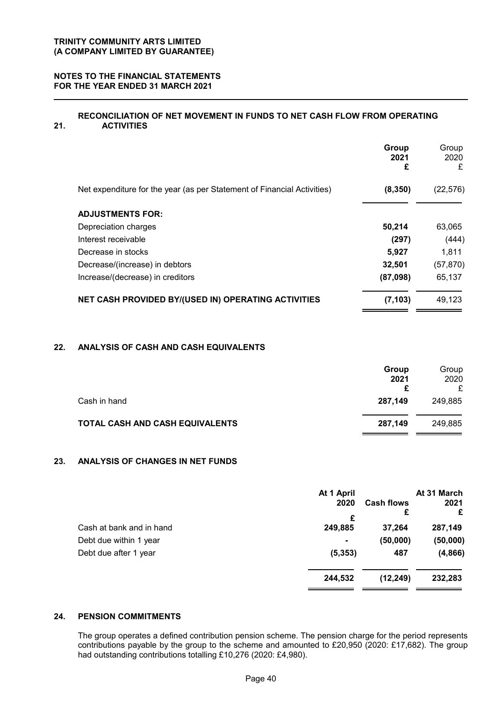### **NOTES TO THE FINANCIAL STATEMENTS FOR THE YEAR ENDED 31 MARCH 2021**

#### **21. RECONCILIATION OF NET MOVEMENT IN FUNDS TO NET CASH FLOW FROM OPERATING ACTIVITIES**

|                                                                         | Group<br>2021<br>£ | Group<br>2020<br>£ |
|-------------------------------------------------------------------------|--------------------|--------------------|
| Net expenditure for the year (as per Statement of Financial Activities) | (8, 350)           | (22, 576)          |
| <b>ADJUSTMENTS FOR:</b>                                                 |                    |                    |
| Depreciation charges                                                    | 50,214             | 63,065             |
| Interest receivable                                                     | (297)              | (444)              |
| Decrease in stocks                                                      | 5,927              | 1,811              |
| Decrease/(increase) in debtors                                          | 32,501             | (57, 870)          |
| Increase/(decrease) in creditors                                        | (87,098)           | 65,137             |
| <b>NET CASH PROVIDED BY/(USED IN) OPERATING ACTIVITIES</b>              | (7, 103)           | 49,123             |

### **22. ANALYSIS OF CASH AND CASH EQUIVALENTS**

|                                 | Group<br>2021 | Group<br>2020 |
|---------------------------------|---------------|---------------|
|                                 |               |               |
| Cash in hand                    | 287.149       | 249.885       |
| TOTAL CASH AND CASH EQUIVALENTS | 287,149       | 249,885       |

### **23. ANALYSIS OF CHANGES IN NET FUNDS**

|                          | At 1 April |                   | At 31 March |
|--------------------------|------------|-------------------|-------------|
|                          | 2020       | <b>Cash flows</b> | 2021        |
|                          | £          | £                 | £           |
| Cash at bank and in hand | 249,885    | 37,264            | 287,149     |
| Debt due within 1 year   |            | (50,000)          | (50,000)    |
| Debt due after 1 year    | (5, 353)   | 487               | (4,866)     |
|                          | 244,532    | (12, 249)         | 232,283     |
|                          |            |                   |             |

### **24. PENSION COMMITMENTS**

The group operates a defined contribution pension scheme. The pension charge for the period represents contributions payable by the group to the scheme and amounted to £20,950 (2020: £17,682). The group had outstanding contributions totalling £10,276 (2020: £4,980).